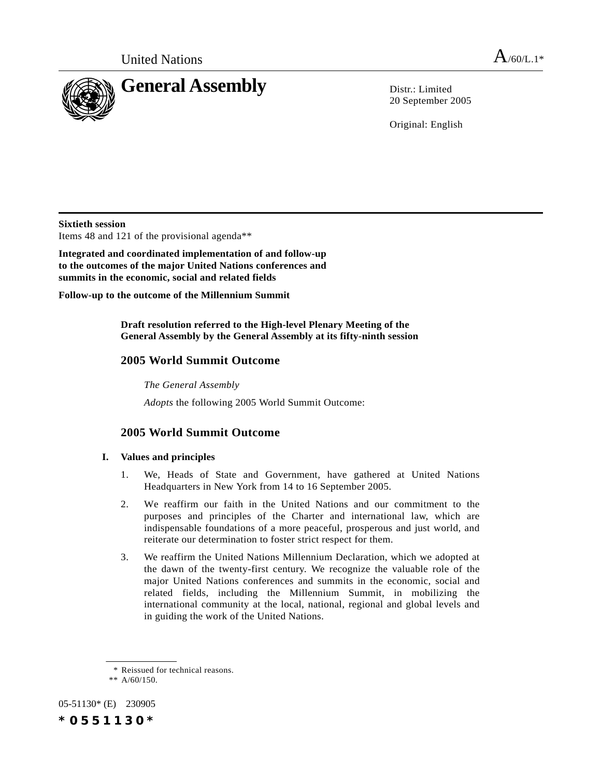

20 September 2005

Original: English

**Sixtieth session**

Items 48 and 121 of the provisional agenda\*\*

**Integrated and coordinated implementation of and follow-up to the outcomes of the major United Nations conferences and summits in the economic, social and related fields**

**Follow-up to the outcome of the Millennium Summit**

**Draft resolution referred to the High-level Plenary Meeting of the General Assembly by the General Assembly at its fifty-ninth session**

# **2005 World Summit Outcome**

*The General Assembly*

*Adopts* the following 2005 World Summit Outcome:

# **2005 World Summit Outcome**

# **I. Values and principles**

- 1. We, Heads of State and Government, have gathered at United Nations Headquarters in New York from 14 to 16 September 2005.
- 2. We reaffirm our faith in the United Nations and our commitment to the purposes and principles of the Charter and international law, which are indispensable foundations of a more peaceful, prosperous and just world, and reiterate our determination to foster strict respect for them.
- 3. We reaffirm the United Nations Millennium Declaration, which we adopted at the dawn of the twenty-first century. We recognize the valuable role of the major United Nations conferences and summits in the economic, social and related fields, including the Millennium Summit, in mobilizing the international community at the local, national, regional and global levels and in guiding the work of the United Nations.

05-51130\* (E) 230905

*\*0551130\**

<sup>\*</sup> Reissued for technical reasons.

<sup>\*\*</sup> A/60/150.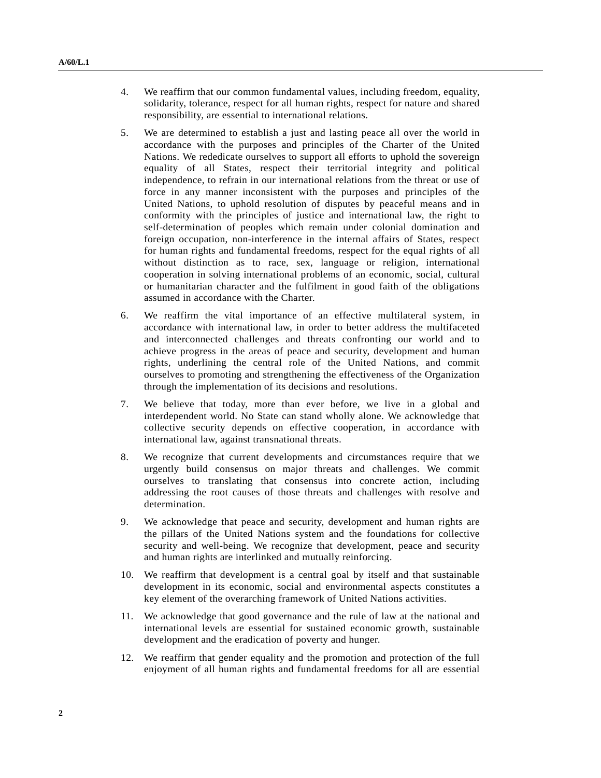- 4. We reaffirm that our common fundamental values, including freedom, equality, solidarity, tolerance, respect for all human rights, respect for nature and shared responsibility, are essential to international relations.
- 5. We are determined to establish a just and lasting peace all over the world in accordance with the purposes and principles of the Charter of the United Nations. We rededicate ourselves to support all efforts to uphold the sovereign equality of all States, respect their territorial integrity and political independence, to refrain in our international relations from the threat or use of force in any manner inconsistent with the purposes and principles of the United Nations, to uphold resolution of disputes by peaceful means and in conformity with the principles of justice and international law, the right to self-determination of peoples which remain under colonial domination and foreign occupation, non-interference in the internal affairs of States, respect for human rights and fundamental freedoms, respect for the equal rights of all without distinction as to race, sex, language or religion, international cooperation in solving international problems of an economic, social, cultural or humanitarian character and the fulfilment in good faith of the obligations assumed in accordance with the Charter.
- 6. We reaffirm the vital importance of an effective multilateral system, in accordance with international law, in order to better address the multifaceted and interconnected challenges and threats confronting our world and to achieve progress in the areas of peace and security, development and human rights, underlining the central role of the United Nations, and commit ourselves to promoting and strengthening the effectiveness of the Organization through the implementation of its decisions and resolutions.
- 7. We believe that today, more than ever before, we live in a global and interdependent world. No State can stand wholly alone. We acknowledge that collective security depends on effective cooperation, in accordance with international law, against transnational threats.
- 8. We recognize that current developments and circumstances require that we urgently build consensus on major threats and challenges. We commit ourselves to translating that consensus into concrete action, including addressing the root causes of those threats and challenges with resolve and determination.
- 9. We acknowledge that peace and security, development and human rights are the pillars of the United Nations system and the foundations for collective security and well-being. We recognize that development, peace and security and human rights are interlinked and mutually reinforcing.
- 10. We reaffirm that development is a central goal by itself and that sustainable development in its economic, social and environmental aspects constitutes a key element of the overarching framework of United Nations activities.
- 11. We acknowledge that good governance and the rule of law at the national and international levels are essential for sustained economic growth, sustainable development and the eradication of poverty and hunger.
- 12. We reaffirm that gender equality and the promotion and protection of the full enjoyment of all human rights and fundamental freedoms for all are essential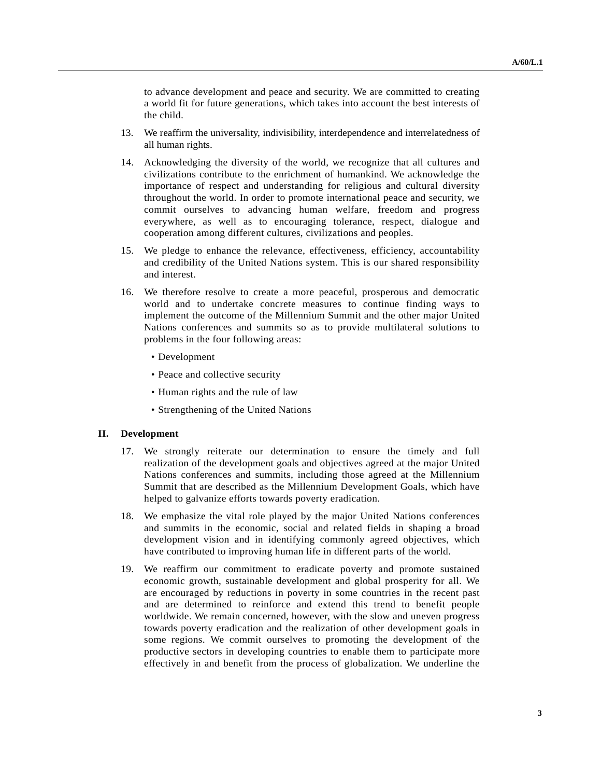to advance development and peace and security. We are committed to creating a world fit for future generations, which takes into account the best interests of the child.

- 13. We reaffirm the universality, indivisibility, interdependence and interrelatedness of all human rights.
- 14. Acknowledging the diversity of the world, we recognize that all cultures and civilizations contribute to the enrichment of humankind. We acknowledge the importance of respect and understanding for religious and cultural diversity throughout the world. In order to promote international peace and security, we commit ourselves to advancing human welfare, freedom and progress everywhere, as well as to encouraging tolerance, respect, dialogue and cooperation among different cultures, civilizations and peoples.
- 15. We pledge to enhance the relevance, effectiveness, efficiency, accountability and credibility of the United Nations system. This is our shared responsibility and interest.
- 16. We therefore resolve to create a more peaceful, prosperous and democratic world and to undertake concrete measures to continue finding ways to implement the outcome of the Millennium Summit and the other major United Nations conferences and summits so as to provide multilateral solutions to problems in the four following areas:
	- Development
	- Peace and collective security
	- Human rights and the rule of law
	- Strengthening of the United Nations

### **II. Development**

- 17. We strongly reiterate our determination to ensure the timely and full realization of the development goals and objectives agreed at the major United Nations conferences and summits, including those agreed at the Millennium Summit that are described as the Millennium Development Goals, which have helped to galvanize efforts towards poverty eradication.
- 18. We emphasize the vital role played by the major United Nations conferences and summits in the economic, social and related fields in shaping a broad development vision and in identifying commonly agreed objectives, which have contributed to improving human life in different parts of the world.
- 19. We reaffirm our commitment to eradicate poverty and promote sustained economic growth, sustainable development and global prosperity for all. We are encouraged by reductions in poverty in some countries in the recent past and are determined to reinforce and extend this trend to benefit people worldwide. We remain concerned, however, with the slow and uneven progress towards poverty eradication and the realization of other development goals in some regions. We commit ourselves to promoting the development of the productive sectors in developing countries to enable them to participate more effectively in and benefit from the process of globalization. We underline the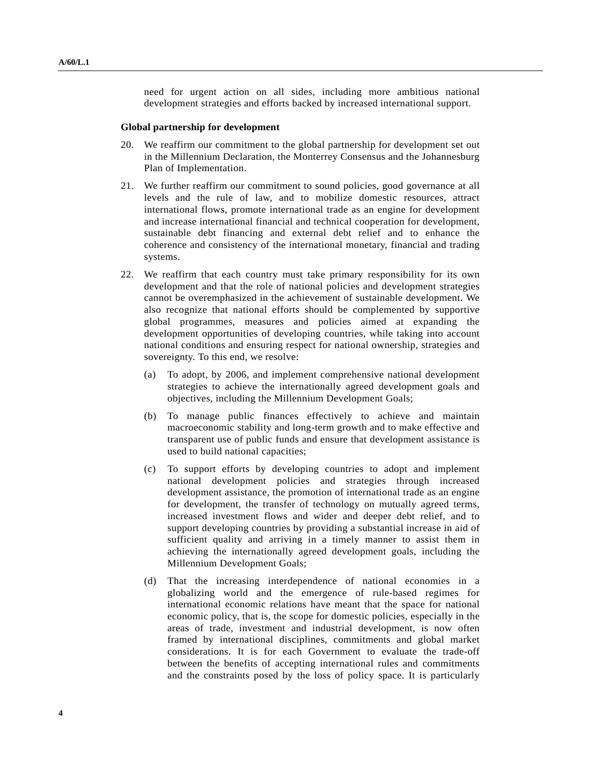need for urgent action on all sides, including more ambitious national development strategies and efforts backed by increased international support.

#### **Global partnership for development**

- 20. We reaffirm our commitment to the global partnership for development set out in the Millennium Declaration, the Monterrey Consensus and the Johannesburg Plan of Implementation.
- 21. We further reaffirm our commitment to sound policies, good governance at all levels and the rule of law, and to mobilize domestic resources, attract international flows, promote international trade as an engine for development and increase international financial and technical cooperation for development, sustainable debt financing and external debt relief and to enhance the coherence and consistency of the international monetary, financial and trading systems.
- 22. We reaffirm that each country must take primary responsibility for its own development and that the role of national policies and development strategies cannot be overemphasized in the achievement of sustainable development. We also recognize that national efforts should be complemented by supportive global programmes, measures and policies aimed at expanding the development opportunities of developing countries, while taking into account national conditions and ensuring respect for national ownership, strategies and sovereignty. To this end, we resolve:
	- (a) To adopt, by 2006, and implement comprehensive national development strategies to achieve the internationally agreed development goals and objectives, including the Millennium Development Goals;
	- (b) To manage public finances effectively to achieve and maintain macroeconomic stability and long-term growth and to make effective and transparent use of public funds and ensure that development assistance is used to build national capacities;
	- (c) To support efforts by developing countries to adopt and implement national development policies and strategies through increased development assistance, the promotion of international trade as an engine for development, the transfer of technology on mutually agreed terms, increased investment flows and wider and deeper debt relief, and to support developing countries by providing a substantial increase in aid of sufficient quality and arriving in a timely manner to assist them in achieving the internationally agreed development goals, including the Millennium Development Goals;
	- (d) That the increasing interdependence of national economies in a globalizing world and the emergence of rule-based regimes for international economic relations have meant that the space for national economic policy, that is, the scope for domestic policies, especially in the areas of trade, investment and industrial development, is now often framed by international disciplines, commitments and global market considerations. It is for each Government to evaluate the trade-off between the benefits of accepting international rules and commitments and the constraints posed by the loss of policy space. It is particularly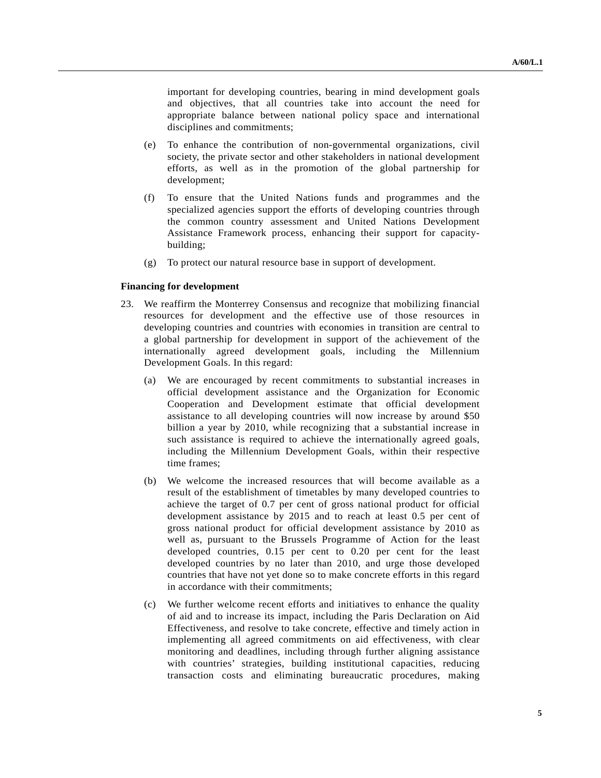important for developing countries, bearing in mind development goals and objectives, that all countries take into account the need for appropriate balance between national policy space and international disciplines and commitments;

- (e) To enhance the contribution of non-governmental organizations, civil society, the private sector and other stakeholders in national development efforts, as well as in the promotion of the global partnership for development;
- (f) To ensure that the United Nations funds and programmes and the specialized agencies support the efforts of developing countries through the common country assessment and United Nations Development Assistance Framework process, enhancing their support for capacitybuilding;
- (g) To protect our natural resource base in support of development.

## **Financing for development**

- 23. We reaffirm the Monterrey Consensus and recognize that mobilizing financial resources for development and the effective use of those resources in developing countries and countries with economies in transition are central to a global partnership for development in support of the achievement of the internationally agreed development goals, including the Millennium Development Goals. In this regard:
	- (a) We are encouraged by recent commitments to substantial increases in official development assistance and the Organization for Economic Cooperation and Development estimate that official development assistance to all developing countries will now increase by around \$50 billion a year by 2010, while recognizing that a substantial increase in such assistance is required to achieve the internationally agreed goals, including the Millennium Development Goals, within their respective time frames;
	- (b) We welcome the increased resources that will become available as a result of the establishment of timetables by many developed countries to achieve the target of 0.7 per cent of gross national product for official development assistance by 2015 and to reach at least 0.5 per cent of gross national product for official development assistance by 2010 as well as, pursuant to the Brussels Programme of Action for the least developed countries, 0.15 per cent to 0.20 per cent for the least developed countries by no later than 2010, and urge those developed countries that have not yet done so to make concrete efforts in this regard in accordance with their commitments;
	- (c) We further welcome recent efforts and initiatives to enhance the quality of aid and to increase its impact, including the Paris Declaration on Aid Effectiveness, and resolve to take concrete, effective and timely action in implementing all agreed commitments on aid effectiveness, with clear monitoring and deadlines, including through further aligning assistance with countries' strategies, building institutional capacities, reducing transaction costs and eliminating bureaucratic procedures, making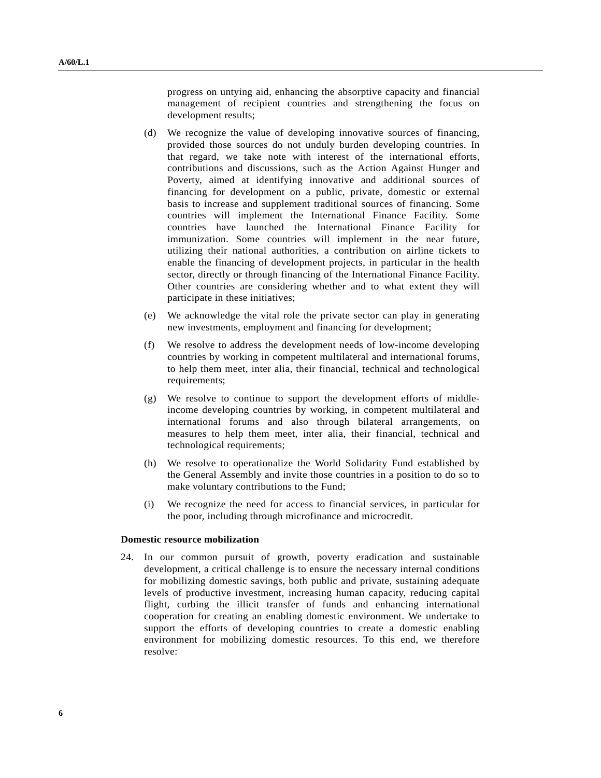progress on untying aid, enhancing the absorptive capacity and financial management of recipient countries and strengthening the focus on development results;

- (d) We recognize the value of developing innovative sources of financing, provided those sources do not unduly burden developing countries. In that regard, we take note with interest of the international efforts, contributions and discussions, such as the Action Against Hunger and Poverty, aimed at identifying innovative and additional sources of financing for development on a public, private, domestic or external basis to increase and supplement traditional sources of financing. Some countries will implement the International Finance Facility. Some countries have launched the International Finance Facility for immunization. Some countries will implement in the near future, utilizing their national authorities, a contribution on airline tickets to enable the financing of development projects, in particular in the health sector, directly or through financing of the International Finance Facility. Other countries are considering whether and to what extent they will participate in these initiatives;
- (e) We acknowledge the vital role the private sector can play in generating new investments, employment and financing for development;
- (f) We resolve to address the development needs of low-income developing countries by working in competent multilateral and international forums, to help them meet, inter alia, their financial, technical and technological requirements;
- (g) We resolve to continue to support the development efforts of middleincome developing countries by working, in competent multilateral and international forums and also through bilateral arrangements, on measures to help them meet, inter alia, their financial, technical and technological requirements;
- (h) We resolve to operationalize the World Solidarity Fund established by the General Assembly and invite those countries in a position to do so to make voluntary contributions to the Fund;
- (i) We recognize the need for access to financial services, in particular for the poor, including through microfinance and microcredit.

# **Domestic resource mobilization**

24. In our common pursuit of growth, poverty eradication and sustainable development, a critical challenge is to ensure the necessary internal conditions for mobilizing domestic savings, both public and private, sustaining adequate levels of productive investment, increasing human capacity, reducing capital flight, curbing the illicit transfer of funds and enhancing international cooperation for creating an enabling domestic environment. We undertake to support the efforts of developing countries to create a domestic enabling environment for mobilizing domestic resources. To this end, we therefore resolve: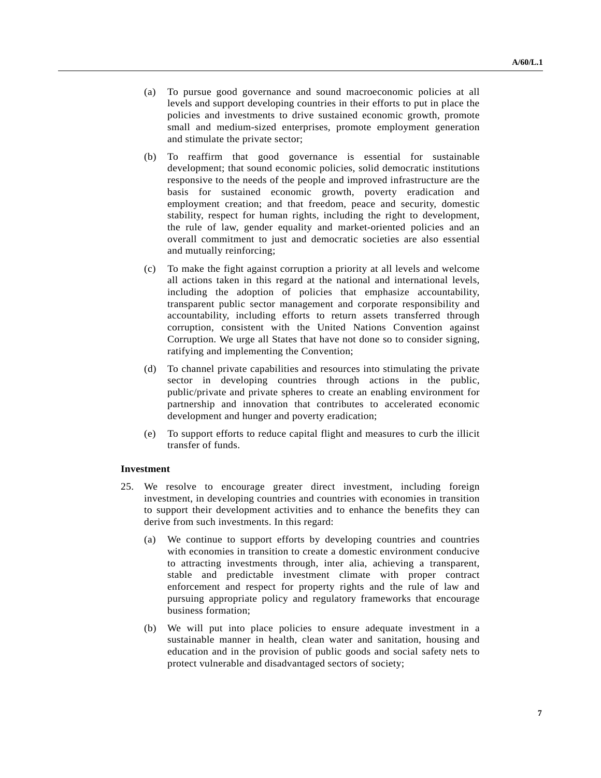- (a) To pursue good governance and sound macroeconomic policies at all levels and support developing countries in their efforts to put in place the policies and investments to drive sustained economic growth, promote small and medium-sized enterprises, promote employment generation and stimulate the private sector;
- (b) To reaffirm that good governance is essential for sustainable development; that sound economic policies, solid democratic institutions responsive to the needs of the people and improved infrastructure are the basis for sustained economic growth, poverty eradication and employment creation; and that freedom, peace and security, domestic stability, respect for human rights, including the right to development, the rule of law, gender equality and market-oriented policies and an overall commitment to just and democratic societies are also essential and mutually reinforcing;
- (c) To make the fight against corruption a priority at all levels and welcome all actions taken in this regard at the national and international levels, including the adoption of policies that emphasize accountability, transparent public sector management and corporate responsibility and accountability, including efforts to return assets transferred through corruption, consistent with the United Nations Convention against Corruption. We urge all States that have not done so to consider signing, ratifying and implementing the Convention;
- (d) To channel private capabilities and resources into stimulating the private sector in developing countries through actions in the public, public/private and private spheres to create an enabling environment for partnership and innovation that contributes to accelerated economic development and hunger and poverty eradication;
- (e) To support efforts to reduce capital flight and measures to curb the illicit transfer of funds.

#### **Investment**

- 25. We resolve to encourage greater direct investment, including foreign investment, in developing countries and countries with economies in transition to support their development activities and to enhance the benefits they can derive from such investments. In this regard:
	- (a) We continue to support efforts by developing countries and countries with economies in transition to create a domestic environment conducive to attracting investments through, inter alia, achieving a transparent, stable and predictable investment climate with proper contract enforcement and respect for property rights and the rule of law and pursuing appropriate policy and regulatory frameworks that encourage business formation;
	- (b) We will put into place policies to ensure adequate investment in a sustainable manner in health, clean water and sanitation, housing and education and in the provision of public goods and social safety nets to protect vulnerable and disadvantaged sectors of society;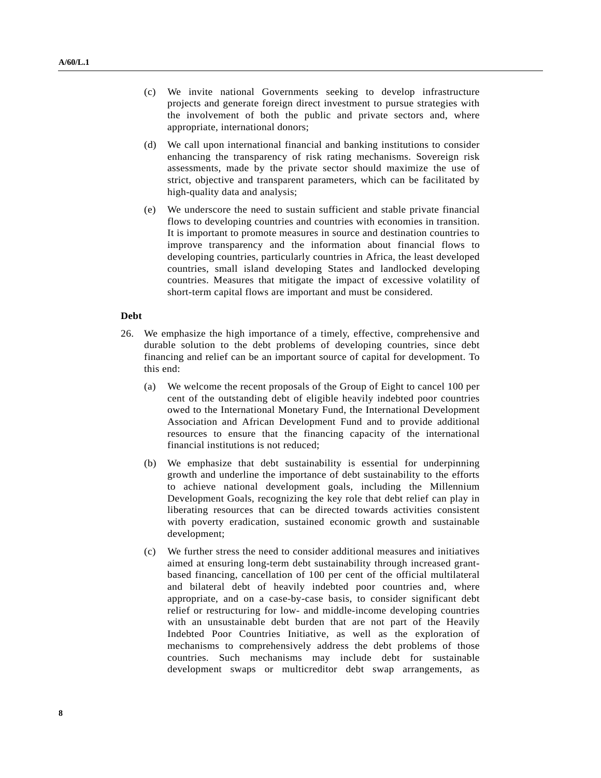- (c) We invite national Governments seeking to develop infrastructure projects and generate foreign direct investment to pursue strategies with the involvement of both the public and private sectors and, where appropriate, international donors;
- (d) We call upon international financial and banking institutions to consider enhancing the transparency of risk rating mechanisms. Sovereign risk assessments, made by the private sector should maximize the use of strict, objective and transparent parameters, which can be facilitated by high-quality data and analysis;
- (e) We underscore the need to sustain sufficient and stable private financial flows to developing countries and countries with economies in transition. It is important to promote measures in source and destination countries to improve transparency and the information about financial flows to developing countries, particularly countries in Africa, the least developed countries, small island developing States and landlocked developing countries. Measures that mitigate the impact of excessive volatility of short-term capital flows are important and must be considered.

### **Debt**

- 26. We emphasize the high importance of a timely, effective, comprehensive and durable solution to the debt problems of developing countries, since debt financing and relief can be an important source of capital for development. To this end:
	- (a) We welcome the recent proposals of the Group of Eight to cancel 100 per cent of the outstanding debt of eligible heavily indebted poor countries owed to the International Monetary Fund, the International Development Association and African Development Fund and to provide additional resources to ensure that the financing capacity of the international financial institutions is not reduced;
	- (b) We emphasize that debt sustainability is essential for underpinning growth and underline the importance of debt sustainability to the efforts to achieve national development goals, including the Millennium Development Goals, recognizing the key role that debt relief can play in liberating resources that can be directed towards activities consistent with poverty eradication, sustained economic growth and sustainable development;
	- (c) We further stress the need to consider additional measures and initiatives aimed at ensuring long-term debt sustainability through increased grantbased financing, cancellation of 100 per cent of the official multilateral and bilateral debt of heavily indebted poor countries and, where appropriate, and on a case-by-case basis, to consider significant debt relief or restructuring for low- and middle-income developing countries with an unsustainable debt burden that are not part of the Heavily Indebted Poor Countries Initiative, as well as the exploration of mechanisms to comprehensively address the debt problems of those countries. Such mechanisms may include debt for sustainable development swaps or multicreditor debt swap arrangements, as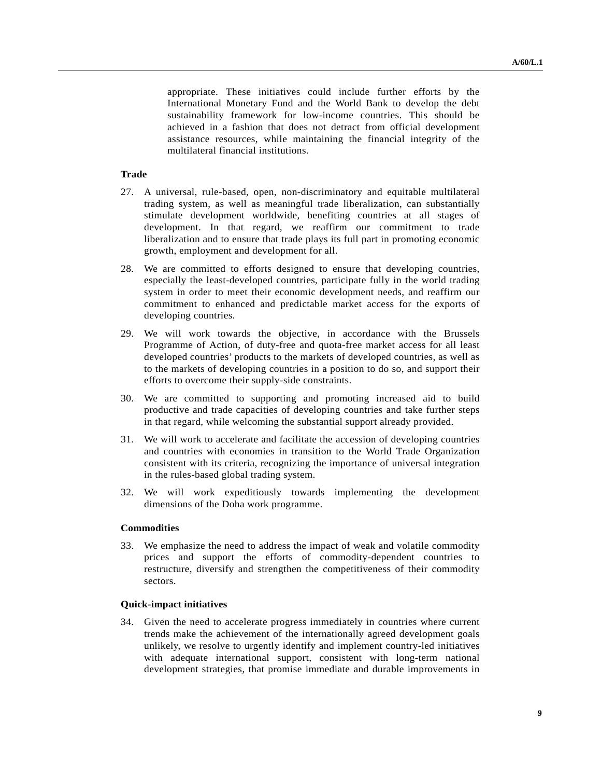appropriate. These initiatives could include further efforts by the International Monetary Fund and the World Bank to develop the debt sustainability framework for low-income countries. This should be achieved in a fashion that does not detract from official development assistance resources, while maintaining the financial integrity of the multilateral financial institutions.

# **Trade**

- 27. A universal, rule-based, open, non-discriminatory and equitable multilateral trading system, as well as meaningful trade liberalization, can substantially stimulate development worldwide, benefiting countries at all stages of development. In that regard, we reaffirm our commitment to trade liberalization and to ensure that trade plays its full part in promoting economic growth, employment and development for all.
- 28. We are committed to efforts designed to ensure that developing countries, especially the least-developed countries, participate fully in the world trading system in order to meet their economic development needs, and reaffirm our commitment to enhanced and predictable market access for the exports of developing countries.
- 29. We will work towards the objective, in accordance with the Brussels Programme of Action, of duty-free and quota-free market access for all least developed countries' products to the markets of developed countries, as well as to the markets of developing countries in a position to do so, and support their efforts to overcome their supply-side constraints.
- 30. We are committed to supporting and promoting increased aid to build productive and trade capacities of developing countries and take further steps in that regard, while welcoming the substantial support already provided.
- 31. We will work to accelerate and facilitate the accession of developing countries and countries with economies in transition to the World Trade Organization consistent with its criteria, recognizing the importance of universal integration in the rules-based global trading system.
- 32. We will work expeditiously towards implementing the development dimensions of the Doha work programme.

# **Commodities**

33. We emphasize the need to address the impact of weak and volatile commodity prices and support the efforts of commodity-dependent countries to restructure, diversify and strengthen the competitiveness of their commodity sectors.

# **Quick-impact initiatives**

34. Given the need to accelerate progress immediately in countries where current trends make the achievement of the internationally agreed development goals unlikely, we resolve to urgently identify and implement country-led initiatives with adequate international support, consistent with long-term national development strategies, that promise immediate and durable improvements in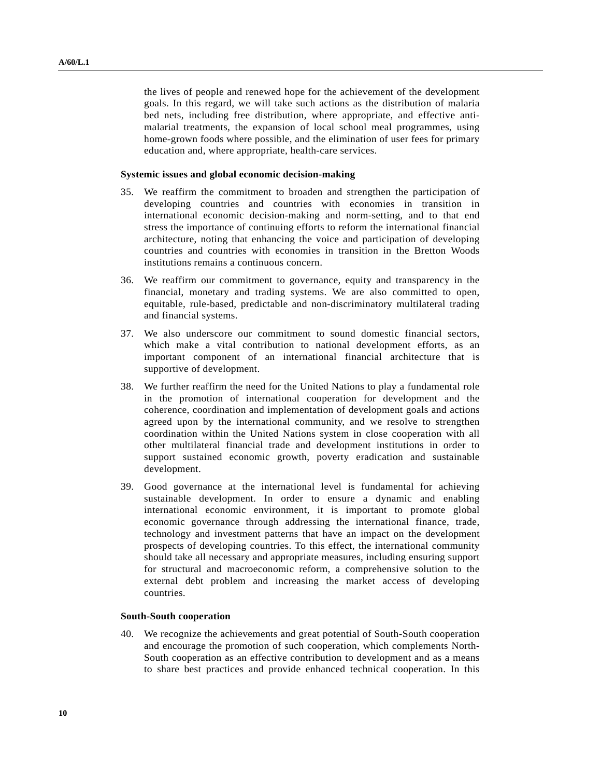the lives of people and renewed hope for the achievement of the development goals. In this regard, we will take such actions as the distribution of malaria bed nets, including free distribution, where appropriate, and effective antimalarial treatments, the expansion of local school meal programmes, using home-grown foods where possible, and the elimination of user fees for primary education and, where appropriate, health-care services.

#### **Systemic issues and global economic decision-making**

- 35. We reaffirm the commitment to broaden and strengthen the participation of developing countries and countries with economies in transition in international economic decision-making and norm-setting, and to that end stress the importance of continuing efforts to reform the international financial architecture, noting that enhancing the voice and participation of developing countries and countries with economies in transition in the Bretton Woods institutions remains a continuous concern.
- 36. We reaffirm our commitment to governance, equity and transparency in the financial, monetary and trading systems. We are also committed to open, equitable, rule-based, predictable and non-discriminatory multilateral trading and financial systems.
- 37. We also underscore our commitment to sound domestic financial sectors, which make a vital contribution to national development efforts, as an important component of an international financial architecture that is supportive of development.
- 38. We further reaffirm the need for the United Nations to play a fundamental role in the promotion of international cooperation for development and the coherence, coordination and implementation of development goals and actions agreed upon by the international community, and we resolve to strengthen coordination within the United Nations system in close cooperation with all other multilateral financial trade and development institutions in order to support sustained economic growth, poverty eradication and sustainable development.
- 39. Good governance at the international level is fundamental for achieving sustainable development. In order to ensure a dynamic and enabling international economic environment, it is important to promote global economic governance through addressing the international finance, trade, technology and investment patterns that have an impact on the development prospects of developing countries. To this effect, the international community should take all necessary and appropriate measures, including ensuring support for structural and macroeconomic reform, a comprehensive solution to the external debt problem and increasing the market access of developing countries.

### **South-South cooperation**

40. We recognize the achievements and great potential of South-South cooperation and encourage the promotion of such cooperation, which complements North-South cooperation as an effective contribution to development and as a means to share best practices and provide enhanced technical cooperation. In this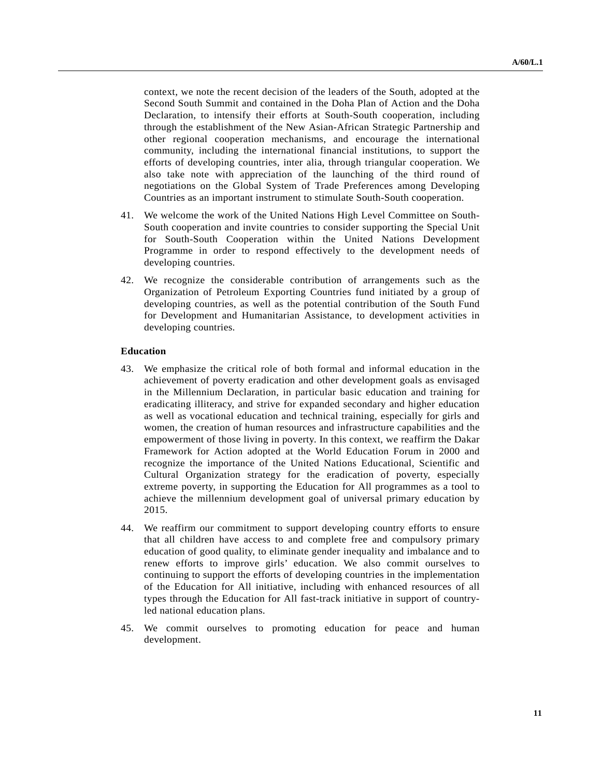context, we note the recent decision of the leaders of the South, adopted at the Second South Summit and contained in the Doha Plan of Action and the Doha Declaration, to intensify their efforts at South-South cooperation, including through the establishment of the New Asian-African Strategic Partnership and other regional cooperation mechanisms, and encourage the international community, including the international financial institutions, to support the efforts of developing countries, inter alia, through triangular cooperation. We also take note with appreciation of the launching of the third round of negotiations on the Global System of Trade Preferences among Developing Countries as an important instrument to stimulate South-South cooperation.

- 41. We welcome the work of the United Nations High Level Committee on South-South cooperation and invite countries to consider supporting the Special Unit for South-South Cooperation within the United Nations Development Programme in order to respond effectively to the development needs of developing countries.
- 42. We recognize the considerable contribution of arrangements such as the Organization of Petroleum Exporting Countries fund initiated by a group of developing countries, as well as the potential contribution of the South Fund for Development and Humanitarian Assistance, to development activities in developing countries.

# **Education**

- 43. We emphasize the critical role of both formal and informal education in the achievement of poverty eradication and other development goals as envisaged in the Millennium Declaration, in particular basic education and training for eradicating illiteracy, and strive for expanded secondary and higher education as well as vocational education and technical training, especially for girls and women, the creation of human resources and infrastructure capabilities and the empowerment of those living in poverty. In this context, we reaffirm the Dakar Framework for Action adopted at the World Education Forum in 2000 and recognize the importance of the United Nations Educational, Scientific and Cultural Organization strategy for the eradication of poverty, especially extreme poverty, in supporting the Education for All programmes as a tool to achieve the millennium development goal of universal primary education by 2015.
- 44. We reaffirm our commitment to support developing country efforts to ensure that all children have access to and complete free and compulsory primary education of good quality, to eliminate gender inequality and imbalance and to renew efforts to improve girls' education. We also commit ourselves to continuing to support the efforts of developing countries in the implementation of the Education for All initiative, including with enhanced resources of all types through the Education for All fast-track initiative in support of countryled national education plans.
- 45. We commit ourselves to promoting education for peace and human development.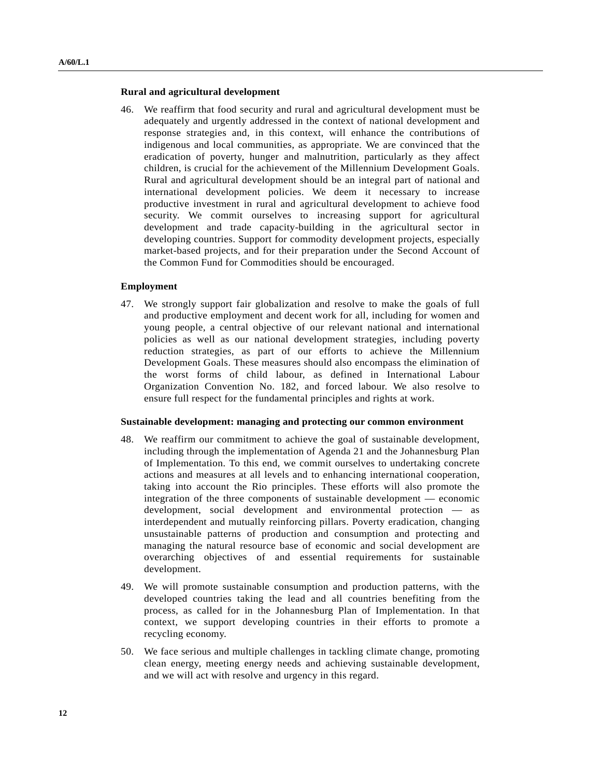# **Rural and agricultural development**

46. We reaffirm that food security and rural and agricultural development must be adequately and urgently addressed in the context of national development and response strategies and, in this context, will enhance the contributions of indigenous and local communities, as appropriate. We are convinced that the eradication of poverty, hunger and malnutrition, particularly as they affect children, is crucial for the achievement of the Millennium Development Goals. Rural and agricultural development should be an integral part of national and international development policies. We deem it necessary to increase productive investment in rural and agricultural development to achieve food security. We commit ourselves to increasing support for agricultural development and trade capacity-building in the agricultural sector in developing countries. Support for commodity development projects, especially market-based projects, and for their preparation under the Second Account of the Common Fund for Commodities should be encouraged.

# **Employment**

47. We strongly support fair globalization and resolve to make the goals of full and productive employment and decent work for all, including for women and young people, a central objective of our relevant national and international policies as well as our national development strategies, including poverty reduction strategies, as part of our efforts to achieve the Millennium Development Goals. These measures should also encompass the elimination of the worst forms of child labour, as defined in International Labour Organization Convention No. 182, and forced labour. We also resolve to ensure full respect for the fundamental principles and rights at work.

#### **Sustainable development: managing and protecting our common environment**

- 48. We reaffirm our commitment to achieve the goal of sustainable development, including through the implementation of Agenda 21 and the Johannesburg Plan of Implementation. To this end, we commit ourselves to undertaking concrete actions and measures at all levels and to enhancing international cooperation, taking into account the Rio principles. These efforts will also promote the integration of the three components of sustainable development — economic development, social development and environmental protection — as interdependent and mutually reinforcing pillars. Poverty eradication, changing unsustainable patterns of production and consumption and protecting and managing the natural resource base of economic and social development are overarching objectives of and essential requirements for sustainable development.
- 49. We will promote sustainable consumption and production patterns, with the developed countries taking the lead and all countries benefiting from the process, as called for in the Johannesburg Plan of Implementation. In that context, we support developing countries in their efforts to promote a recycling economy.
- 50. We face serious and multiple challenges in tackling climate change, promoting clean energy, meeting energy needs and achieving sustainable development, and we will act with resolve and urgency in this regard.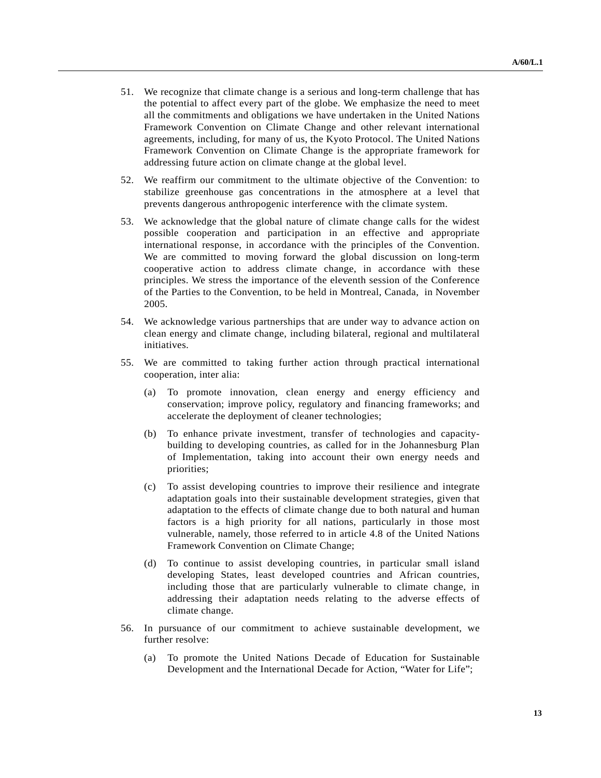- 51. We recognize that climate change is a serious and long-term challenge that has the potential to affect every part of the globe. We emphasize the need to meet all the commitments and obligations we have undertaken in the United Nations Framework Convention on Climate Change and other relevant international agreements, including, for many of us, the Kyoto Protocol. The United Nations Framework Convention on Climate Change is the appropriate framework for addressing future action on climate change at the global level.
- 52. We reaffirm our commitment to the ultimate objective of the Convention: to stabilize greenhouse gas concentrations in the atmosphere at a level that prevents dangerous anthropogenic interference with the climate system.
- 53. We acknowledge that the global nature of climate change calls for the widest possible cooperation and participation in an effective and appropriate international response, in accordance with the principles of the Convention. We are committed to moving forward the global discussion on long-term cooperative action to address climate change, in accordance with these principles. We stress the importance of the eleventh session of the Conference of the Parties to the Convention, to be held in Montreal, Canada, in November 2005.
- 54. We acknowledge various partnerships that are under way to advance action on clean energy and climate change, including bilateral, regional and multilateral initiatives.
- 55. We are committed to taking further action through practical international cooperation, inter alia:
	- (a) To promote innovation, clean energy and energy efficiency and conservation; improve policy, regulatory and financing frameworks; and accelerate the deployment of cleaner technologies;
	- (b) To enhance private investment, transfer of technologies and capacitybuilding to developing countries, as called for in the Johannesburg Plan of Implementation, taking into account their own energy needs and priorities;
	- (c) To assist developing countries to improve their resilience and integrate adaptation goals into their sustainable development strategies, given that adaptation to the effects of climate change due to both natural and human factors is a high priority for all nations, particularly in those most vulnerable, namely, those referred to in article 4.8 of the United Nations Framework Convention on Climate Change;
	- (d) To continue to assist developing countries, in particular small island developing States, least developed countries and African countries, including those that are particularly vulnerable to climate change, in addressing their adaptation needs relating to the adverse effects of climate change.
- 56. In pursuance of our commitment to achieve sustainable development, we further resolve:
	- (a) To promote the United Nations Decade of Education for Sustainable Development and the International Decade for Action, "Water for Life";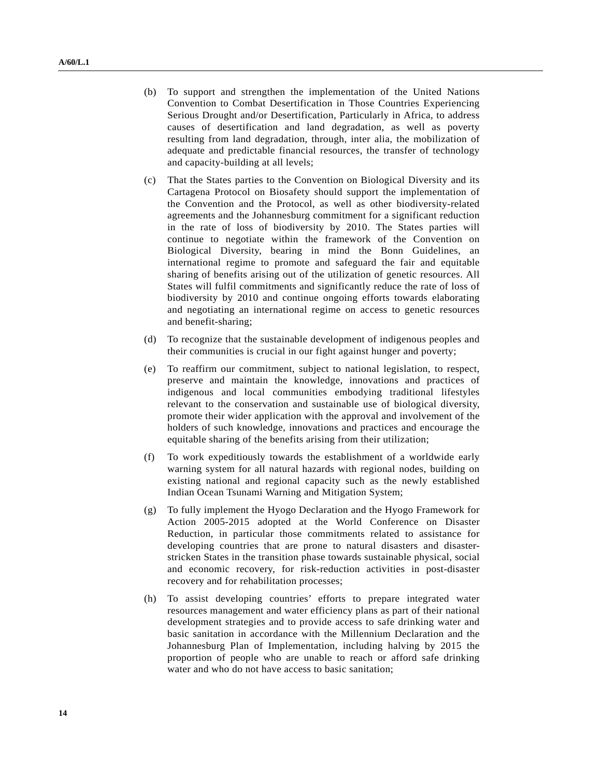- (b) To support and strengthen the implementation of the United Nations Convention to Combat Desertification in Those Countries Experiencing Serious Drought and/or Desertification, Particularly in Africa, to address causes of desertification and land degradation, as well as poverty resulting from land degradation, through, inter alia, the mobilization of adequate and predictable financial resources, the transfer of technology and capacity-building at all levels;
- (c) That the States parties to the Convention on Biological Diversity and its Cartagena Protocol on Biosafety should support the implementation of the Convention and the Protocol, as well as other biodiversity-related agreements and the Johannesburg commitment for a significant reduction in the rate of loss of biodiversity by 2010. The States parties will continue to negotiate within the framework of the Convention on Biological Diversity, bearing in mind the Bonn Guidelines, an international regime to promote and safeguard the fair and equitable sharing of benefits arising out of the utilization of genetic resources. All States will fulfil commitments and significantly reduce the rate of loss of biodiversity by 2010 and continue ongoing efforts towards elaborating and negotiating an international regime on access to genetic resources and benefit-sharing;
- (d) To recognize that the sustainable development of indigenous peoples and their communities is crucial in our fight against hunger and poverty;
- (e) To reaffirm our commitment, subject to national legislation, to respect, preserve and maintain the knowledge, innovations and practices of indigenous and local communities embodying traditional lifestyles relevant to the conservation and sustainable use of biological diversity, promote their wider application with the approval and involvement of the holders of such knowledge, innovations and practices and encourage the equitable sharing of the benefits arising from their utilization;
- (f) To work expeditiously towards the establishment of a worldwide early warning system for all natural hazards with regional nodes, building on existing national and regional capacity such as the newly established Indian Ocean Tsunami Warning and Mitigation System;
- (g) To fully implement the Hyogo Declaration and the Hyogo Framework for Action 2005-2015 adopted at the World Conference on Disaster Reduction, in particular those commitments related to assistance for developing countries that are prone to natural disasters and disasterstricken States in the transition phase towards sustainable physical, social and economic recovery, for risk-reduction activities in post-disaster recovery and for rehabilitation processes;
- (h) To assist developing countries' efforts to prepare integrated water resources management and water efficiency plans as part of their national development strategies and to provide access to safe drinking water and basic sanitation in accordance with the Millennium Declaration and the Johannesburg Plan of Implementation, including halving by 2015 the proportion of people who are unable to reach or afford safe drinking water and who do not have access to basic sanitation;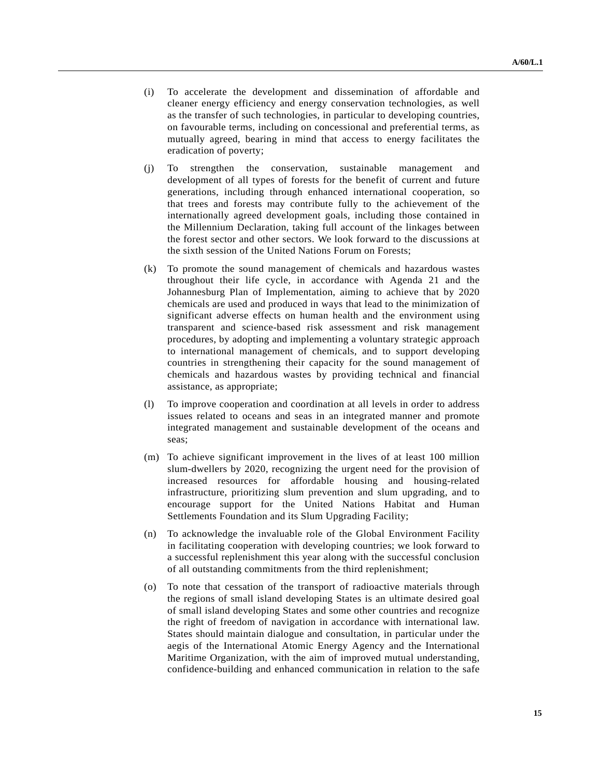- (i) To accelerate the development and dissemination of affordable and cleaner energy efficiency and energy conservation technologies, as well as the transfer of such technologies, in particular to developing countries, on favourable terms, including on concessional and preferential terms, as mutually agreed, bearing in mind that access to energy facilitates the eradication of poverty;
- (j) To strengthen the conservation, sustainable management and development of all types of forests for the benefit of current and future generations, including through enhanced international cooperation, so that trees and forests may contribute fully to the achievement of the internationally agreed development goals, including those contained in the Millennium Declaration, taking full account of the linkages between the forest sector and other sectors. We look forward to the discussions at the sixth session of the United Nations Forum on Forests;
- (k) To promote the sound management of chemicals and hazardous wastes throughout their life cycle, in accordance with Agenda 21 and the Johannesburg Plan of Implementation, aiming to achieve that by 2020 chemicals are used and produced in ways that lead to the minimization of significant adverse effects on human health and the environment using transparent and science-based risk assessment and risk management procedures, by adopting and implementing a voluntary strategic approach to international management of chemicals, and to support developing countries in strengthening their capacity for the sound management of chemicals and hazardous wastes by providing technical and financial assistance, as appropriate;
- (l) To improve cooperation and coordination at all levels in order to address issues related to oceans and seas in an integrated manner and promote integrated management and sustainable development of the oceans and seas;
- (m) To achieve significant improvement in the lives of at least 100 million slum-dwellers by 2020, recognizing the urgent need for the provision of increased resources for affordable housing and housing-related infrastructure, prioritizing slum prevention and slum upgrading, and to encourage support for the United Nations Habitat and Human Settlements Foundation and its Slum Upgrading Facility;
- (n) To acknowledge the invaluable role of the Global Environment Facility in facilitating cooperation with developing countries; we look forward to a successful replenishment this year along with the successful conclusion of all outstanding commitments from the third replenishment;
- (o) To note that cessation of the transport of radioactive materials through the regions of small island developing States is an ultimate desired goal of small island developing States and some other countries and recognize the right of freedom of navigation in accordance with international law. States should maintain dialogue and consultation, in particular under the aegis of the International Atomic Energy Agency and the International Maritime Organization, with the aim of improved mutual understanding, confidence-building and enhanced communication in relation to the safe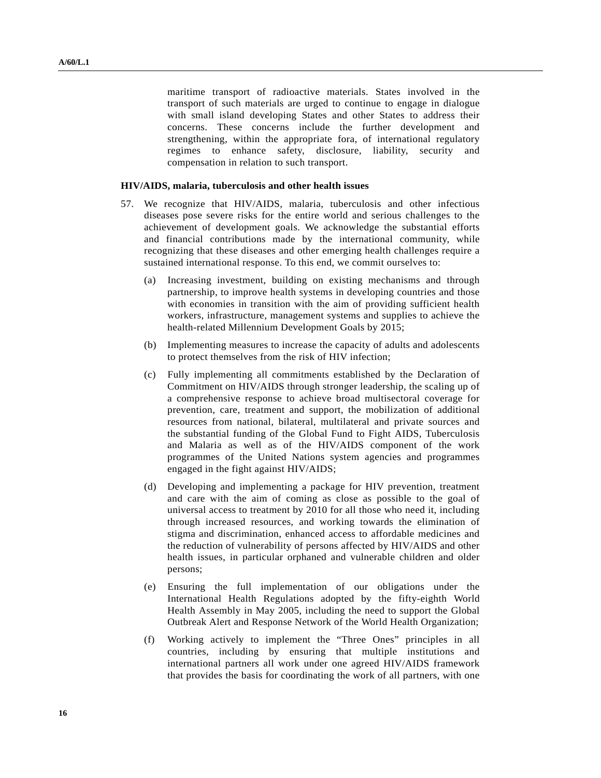maritime transport of radioactive materials. States involved in the transport of such materials are urged to continue to engage in dialogue with small island developing States and other States to address their concerns. These concerns include the further development and strengthening, within the appropriate fora, of international regulatory regimes to enhance safety, disclosure, liability, security and compensation in relation to such transport.

### **HIV/AIDS, malaria, tuberculosis and other health issues**

- 57. We recognize that HIV/AIDS, malaria, tuberculosis and other infectious diseases pose severe risks for the entire world and serious challenges to the achievement of development goals. We acknowledge the substantial efforts and financial contributions made by the international community, while recognizing that these diseases and other emerging health challenges require a sustained international response. To this end, we commit ourselves to:
	- (a) Increasing investment, building on existing mechanisms and through partnership, to improve health systems in developing countries and those with economies in transition with the aim of providing sufficient health workers, infrastructure, management systems and supplies to achieve the health-related Millennium Development Goals by 2015;
	- (b) Implementing measures to increase the capacity of adults and adolescents to protect themselves from the risk of HIV infection;
	- (c) Fully implementing all commitments established by the Declaration of Commitment on HIV/AIDS through stronger leadership, the scaling up of a comprehensive response to achieve broad multisectoral coverage for prevention, care, treatment and support, the mobilization of additional resources from national, bilateral, multilateral and private sources and the substantial funding of the Global Fund to Fight AIDS, Tuberculosis and Malaria as well as of the HIV/AIDS component of the work programmes of the United Nations system agencies and programmes engaged in the fight against HIV/AIDS;
	- (d) Developing and implementing a package for HIV prevention, treatment and care with the aim of coming as close as possible to the goal of universal access to treatment by 2010 for all those who need it, including through increased resources, and working towards the elimination of stigma and discrimination, enhanced access to affordable medicines and the reduction of vulnerability of persons affected by HIV/AIDS and other health issues, in particular orphaned and vulnerable children and older persons;
	- (e) Ensuring the full implementation of our obligations under the International Health Regulations adopted by the fifty-eighth World Health Assembly in May 2005, including the need to support the Global Outbreak Alert and Response Network of the World Health Organization;
	- (f) Working actively to implement the "Three Ones" principles in all countries, including by ensuring that multiple institutions and international partners all work under one agreed HIV/AIDS framework that provides the basis for coordinating the work of all partners, with one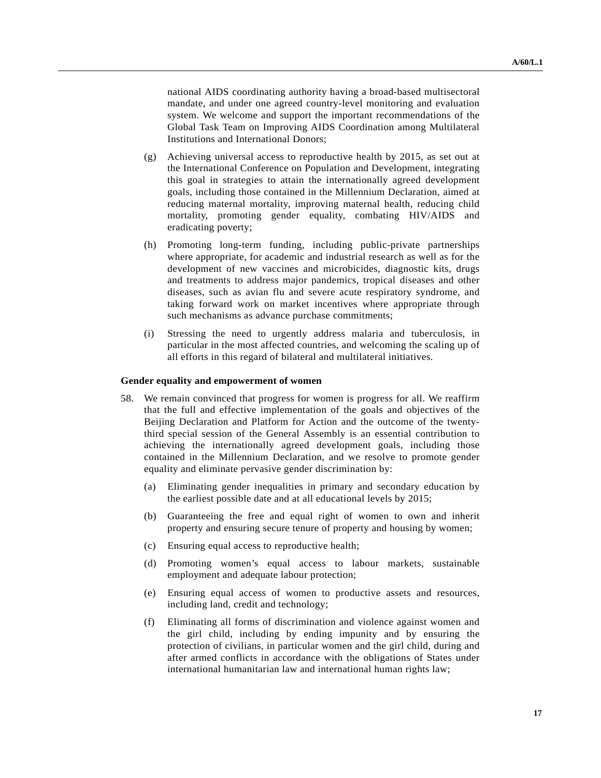national AIDS coordinating authority having a broad-based multisectoral mandate, and under one agreed country-level monitoring and evaluation system. We welcome and support the important recommendations of the Global Task Team on Improving AIDS Coordination among Multilateral Institutions and International Donors;

- (g) Achieving universal access to reproductive health by 2015, as set out at the International Conference on Population and Development, integrating this goal in strategies to attain the internationally agreed development goals, including those contained in the Millennium Declaration, aimed at reducing maternal mortality, improving maternal health, reducing child mortality, promoting gender equality, combating HIV/AIDS and eradicating poverty;
- (h) Promoting long-term funding, including public-private partnerships where appropriate, for academic and industrial research as well as for the development of new vaccines and microbicides, diagnostic kits, drugs and treatments to address major pandemics, tropical diseases and other diseases, such as avian flu and severe acute respiratory syndrome, and taking forward work on market incentives where appropriate through such mechanisms as advance purchase commitments;
- (i) Stressing the need to urgently address malaria and tuberculosis, in particular in the most affected countries, and welcoming the scaling up of all efforts in this regard of bilateral and multilateral initiatives.

#### **Gender equality and empowerment of women**

- 58. We remain convinced that progress for women is progress for all. We reaffirm that the full and effective implementation of the goals and objectives of the Beijing Declaration and Platform for Action and the outcome of the twentythird special session of the General Assembly is an essential contribution to achieving the internationally agreed development goals, including those contained in the Millennium Declaration, and we resolve to promote gender equality and eliminate pervasive gender discrimination by:
	- (a) Eliminating gender inequalities in primary and secondary education by the earliest possible date and at all educational levels by 2015;
	- (b) Guaranteeing the free and equal right of women to own and inherit property and ensuring secure tenure of property and housing by women;
	- (c) Ensuring equal access to reproductive health;
	- (d) Promoting women's equal access to labour markets, sustainable employment and adequate labour protection;
	- (e) Ensuring equal access of women to productive assets and resources, including land, credit and technology;
	- (f) Eliminating all forms of discrimination and violence against women and the girl child, including by ending impunity and by ensuring the protection of civilians, in particular women and the girl child, during and after armed conflicts in accordance with the obligations of States under international humanitarian law and international human rights law;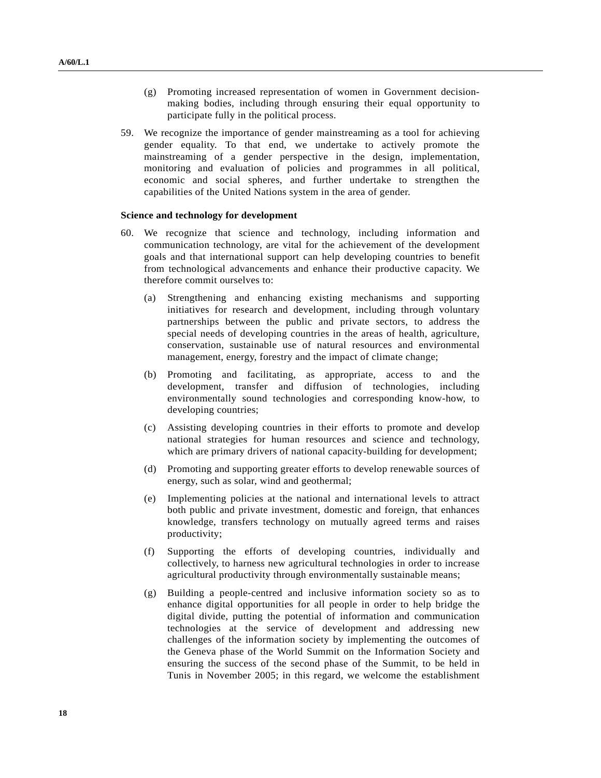- (g) Promoting increased representation of women in Government decisionmaking bodies, including through ensuring their equal opportunity to participate fully in the political process.
- 59. We recognize the importance of gender mainstreaming as a tool for achieving gender equality. To that end, we undertake to actively promote the mainstreaming of a gender perspective in the design, implementation, monitoring and evaluation of policies and programmes in all political, economic and social spheres, and further undertake to strengthen the capabilities of the United Nations system in the area of gender.

# **Science and technology for development**

- 60. We recognize that science and technology, including information and communication technology, are vital for the achievement of the development goals and that international support can help developing countries to benefit from technological advancements and enhance their productive capacity. We therefore commit ourselves to:
	- (a) Strengthening and enhancing existing mechanisms and supporting initiatives for research and development, including through voluntary partnerships between the public and private sectors, to address the special needs of developing countries in the areas of health, agriculture, conservation, sustainable use of natural resources and environmental management, energy, forestry and the impact of climate change;
	- (b) Promoting and facilitating, as appropriate, access to and the development, transfer and diffusion of technologies, including environmentally sound technologies and corresponding know-how, to developing countries;
	- (c) Assisting developing countries in their efforts to promote and develop national strategies for human resources and science and technology, which are primary drivers of national capacity-building for development;
	- (d) Promoting and supporting greater efforts to develop renewable sources of energy, such as solar, wind and geothermal;
	- (e) Implementing policies at the national and international levels to attract both public and private investment, domestic and foreign, that enhances knowledge, transfers technology on mutually agreed terms and raises productivity;
	- (f) Supporting the efforts of developing countries, individually and collectively, to harness new agricultural technologies in order to increase agricultural productivity through environmentally sustainable means;
	- (g) Building a people-centred and inclusive information society so as to enhance digital opportunities for all people in order to help bridge the digital divide, putting the potential of information and communication technologies at the service of development and addressing new challenges of the information society by implementing the outcomes of the Geneva phase of the World Summit on the Information Society and ensuring the success of the second phase of the Summit, to be held in Tunis in November 2005; in this regard, we welcome the establishment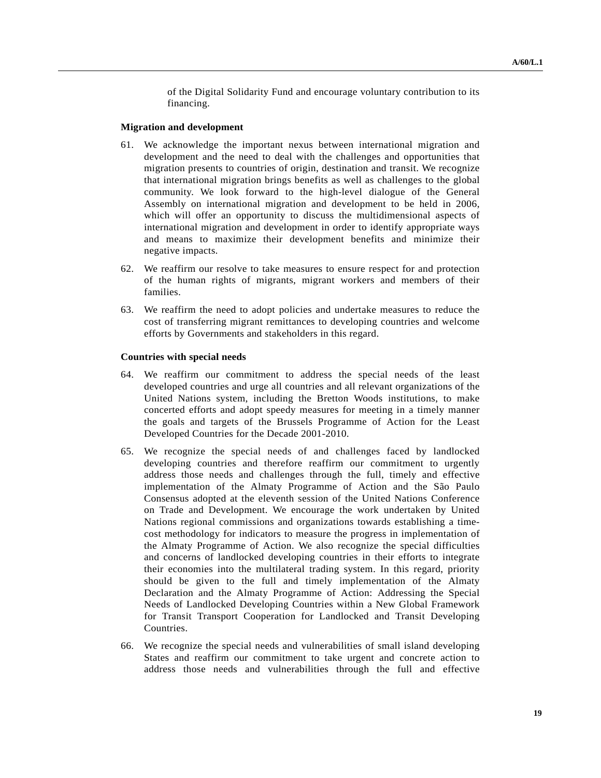of the Digital Solidarity Fund and encourage voluntary contribution to its financing.

### **Migration and development**

- 61. We acknowledge the important nexus between international migration and development and the need to deal with the challenges and opportunities that migration presents to countries of origin, destination and transit. We recognize that international migration brings benefits as well as challenges to the global community. We look forward to the high-level dialogue of the General Assembly on international migration and development to be held in 2006, which will offer an opportunity to discuss the multidimensional aspects of international migration and development in order to identify appropriate ways and means to maximize their development benefits and minimize their negative impacts.
- 62. We reaffirm our resolve to take measures to ensure respect for and protection of the human rights of migrants, migrant workers and members of their families.
- 63. We reaffirm the need to adopt policies and undertake measures to reduce the cost of transferring migrant remittances to developing countries and welcome efforts by Governments and stakeholders in this regard.

#### **Countries with special needs**

- 64. We reaffirm our commitment to address the special needs of the least developed countries and urge all countries and all relevant organizations of the United Nations system, including the Bretton Woods institutions, to make concerted efforts and adopt speedy measures for meeting in a timely manner the goals and targets of the Brussels Programme of Action for the Least Developed Countries for the Decade 2001-2010.
- 65. We recognize the special needs of and challenges faced by landlocked developing countries and therefore reaffirm our commitment to urgently address those needs and challenges through the full, timely and effective implementation of the Almaty Programme of Action and the São Paulo Consensus adopted at the eleventh session of the United Nations Conference on Trade and Development. We encourage the work undertaken by United Nations regional commissions and organizations towards establishing a timecost methodology for indicators to measure the progress in implementation of the Almaty Programme of Action. We also recognize the special difficulties and concerns of landlocked developing countries in their efforts to integrate their economies into the multilateral trading system. In this regard, priority should be given to the full and timely implementation of the Almaty Declaration and the Almaty Programme of Action: Addressing the Special Needs of Landlocked Developing Countries within a New Global Framework for Transit Transport Cooperation for Landlocked and Transit Developing Countries.
- 66. We recognize the special needs and vulnerabilities of small island developing States and reaffirm our commitment to take urgent and concrete action to address those needs and vulnerabilities through the full and effective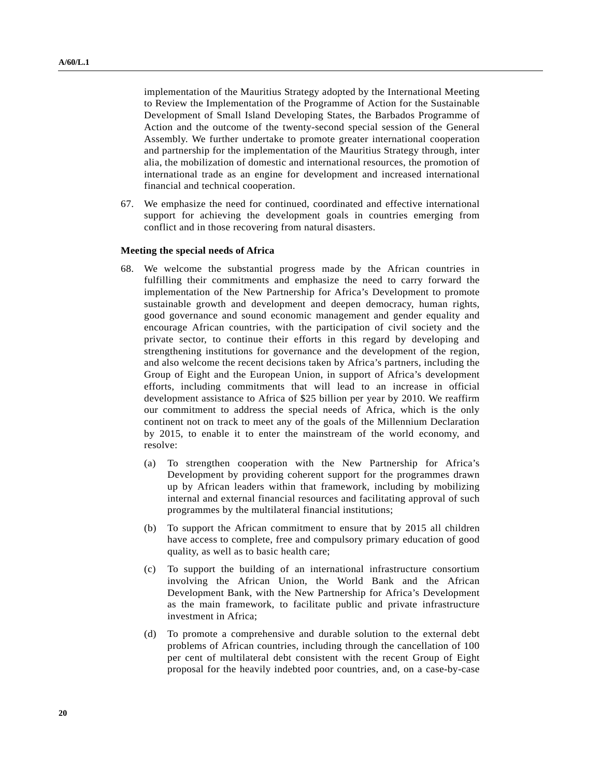implementation of the Mauritius Strategy adopted by the International Meeting to Review the Implementation of the Programme of Action for the Sustainable Development of Small Island Developing States, the Barbados Programme of Action and the outcome of the twenty-second special session of the General Assembly. We further undertake to promote greater international cooperation and partnership for the implementation of the Mauritius Strategy through, inter alia, the mobilization of domestic and international resources, the promotion of international trade as an engine for development and increased international financial and technical cooperation.

67. We emphasize the need for continued, coordinated and effective international support for achieving the development goals in countries emerging from conflict and in those recovering from natural disasters.

#### **Meeting the special needs of Africa**

- 68. We welcome the substantial progress made by the African countries in fulfilling their commitments and emphasize the need to carry forward the implementation of the New Partnership for Africa's Development to promote sustainable growth and development and deepen democracy, human rights, good governance and sound economic management and gender equality and encourage African countries, with the participation of civil society and the private sector, to continue their efforts in this regard by developing and strengthening institutions for governance and the development of the region, and also welcome the recent decisions taken by Africa's partners, including the Group of Eight and the European Union, in support of Africa's development efforts, including commitments that will lead to an increase in official development assistance to Africa of \$25 billion per year by 2010. We reaffirm our commitment to address the special needs of Africa, which is the only continent not on track to meet any of the goals of the Millennium Declaration by 2015, to enable it to enter the mainstream of the world economy, and resolve:
	- (a) To strengthen cooperation with the New Partnership for Africa's Development by providing coherent support for the programmes drawn up by African leaders within that framework, including by mobilizing internal and external financial resources and facilitating approval of such programmes by the multilateral financial institutions;
	- (b) To support the African commitment to ensure that by 2015 all children have access to complete, free and compulsory primary education of good quality, as well as to basic health care;
	- (c) To support the building of an international infrastructure consortium involving the African Union, the World Bank and the African Development Bank, with the New Partnership for Africa's Development as the main framework, to facilitate public and private infrastructure investment in Africa;
	- (d) To promote a comprehensive and durable solution to the external debt problems of African countries, including through the cancellation of 100 per cent of multilateral debt consistent with the recent Group of Eight proposal for the heavily indebted poor countries, and, on a case-by-case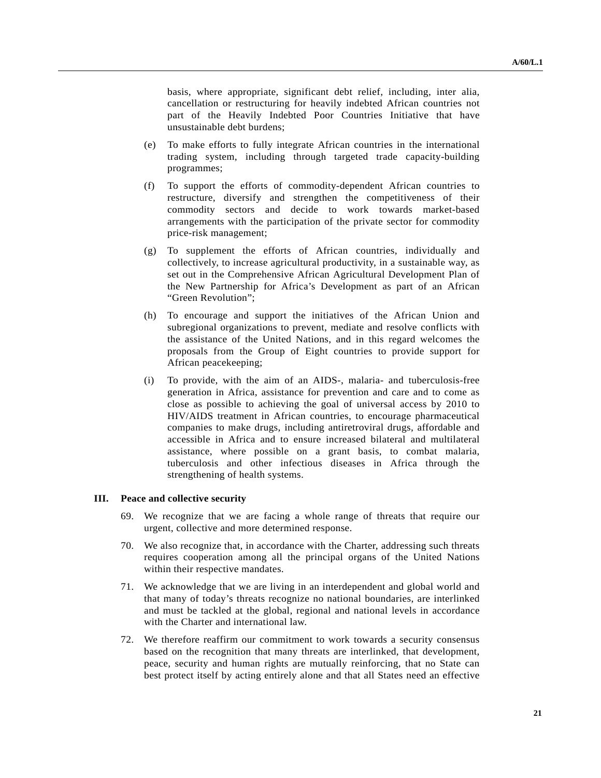basis, where appropriate, significant debt relief, including, inter alia, cancellation or restructuring for heavily indebted African countries not part of the Heavily Indebted Poor Countries Initiative that have unsustainable debt burdens;

- (e) To make efforts to fully integrate African countries in the international trading system, including through targeted trade capacity-building programmes;
- (f) To support the efforts of commodity-dependent African countries to restructure, diversify and strengthen the competitiveness of their commodity sectors and decide to work towards market-based arrangements with the participation of the private sector for commodity price-risk management;
- (g) To supplement the efforts of African countries, individually and collectively, to increase agricultural productivity, in a sustainable way, as set out in the Comprehensive African Agricultural Development Plan of the New Partnership for Africa's Development as part of an African "Green Revolution";
- (h) To encourage and support the initiatives of the African Union and subregional organizations to prevent, mediate and resolve conflicts with the assistance of the United Nations, and in this regard welcomes the proposals from the Group of Eight countries to provide support for African peacekeeping;
- (i) To provide, with the aim of an AIDS-, malaria- and tuberculosis-free generation in Africa, assistance for prevention and care and to come as close as possible to achieving the goal of universal access by 2010 to HIV/AIDS treatment in African countries, to encourage pharmaceutical companies to make drugs, including antiretroviral drugs, affordable and accessible in Africa and to ensure increased bilateral and multilateral assistance, where possible on a grant basis, to combat malaria, tuberculosis and other infectious diseases in Africa through the strengthening of health systems.

#### **III. Peace and collective security**

- 69. We recognize that we are facing a whole range of threats that require our urgent, collective and more determined response.
- 70. We also recognize that, in accordance with the Charter, addressing such threats requires cooperation among all the principal organs of the United Nations within their respective mandates.
- 71. We acknowledge that we are living in an interdependent and global world and that many of today's threats recognize no national boundaries, are interlinked and must be tackled at the global, regional and national levels in accordance with the Charter and international law.
- 72. We therefore reaffirm our commitment to work towards a security consensus based on the recognition that many threats are interlinked, that development, peace, security and human rights are mutually reinforcing, that no State can best protect itself by acting entirely alone and that all States need an effective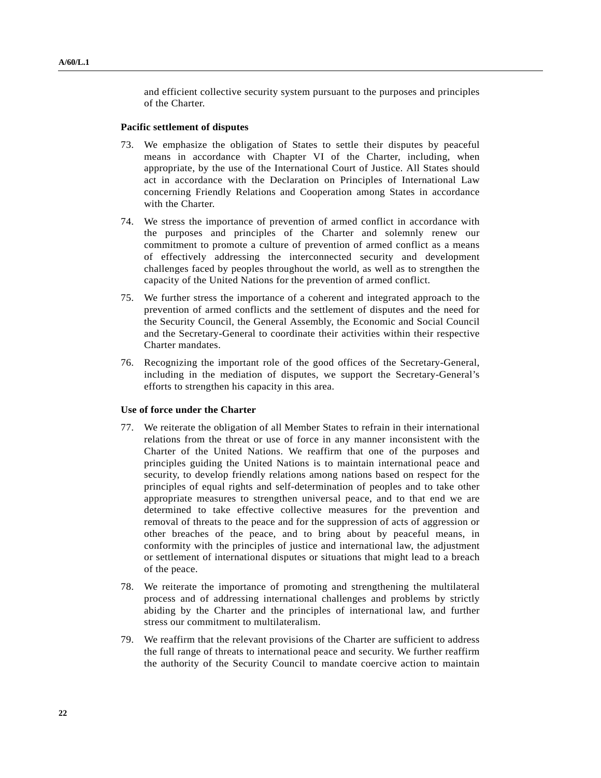and efficient collective security system pursuant to the purposes and principles of the Charter.

#### **Pacific settlement of disputes**

- 73. We emphasize the obligation of States to settle their disputes by peaceful means in accordance with Chapter VI of the Charter, including, when appropriate, by the use of the International Court of Justice. All States should act in accordance with the Declaration on Principles of International Law concerning Friendly Relations and Cooperation among States in accordance with the Charter.
- 74. We stress the importance of prevention of armed conflict in accordance with the purposes and principles of the Charter and solemnly renew our commitment to promote a culture of prevention of armed conflict as a means of effectively addressing the interconnected security and development challenges faced by peoples throughout the world, as well as to strengthen the capacity of the United Nations for the prevention of armed conflict.
- 75. We further stress the importance of a coherent and integrated approach to the prevention of armed conflicts and the settlement of disputes and the need for the Security Council, the General Assembly, the Economic and Social Council and the Secretary-General to coordinate their activities within their respective Charter mandates.
- 76. Recognizing the important role of the good offices of the Secretary-General, including in the mediation of disputes, we support the Secretary-General's efforts to strengthen his capacity in this area.

# **Use of force under the Charter**

- 77. We reiterate the obligation of all Member States to refrain in their international relations from the threat or use of force in any manner inconsistent with the Charter of the United Nations. We reaffirm that one of the purposes and principles guiding the United Nations is to maintain international peace and security, to develop friendly relations among nations based on respect for the principles of equal rights and self-determination of peoples and to take other appropriate measures to strengthen universal peace, and to that end we are determined to take effective collective measures for the prevention and removal of threats to the peace and for the suppression of acts of aggression or other breaches of the peace, and to bring about by peaceful means, in conformity with the principles of justice and international law, the adjustment or settlement of international disputes or situations that might lead to a breach of the peace.
- 78. We reiterate the importance of promoting and strengthening the multilateral process and of addressing international challenges and problems by strictly abiding by the Charter and the principles of international law, and further stress our commitment to multilateralism.
- 79. We reaffirm that the relevant provisions of the Charter are sufficient to address the full range of threats to international peace and security. We further reaffirm the authority of the Security Council to mandate coercive action to maintain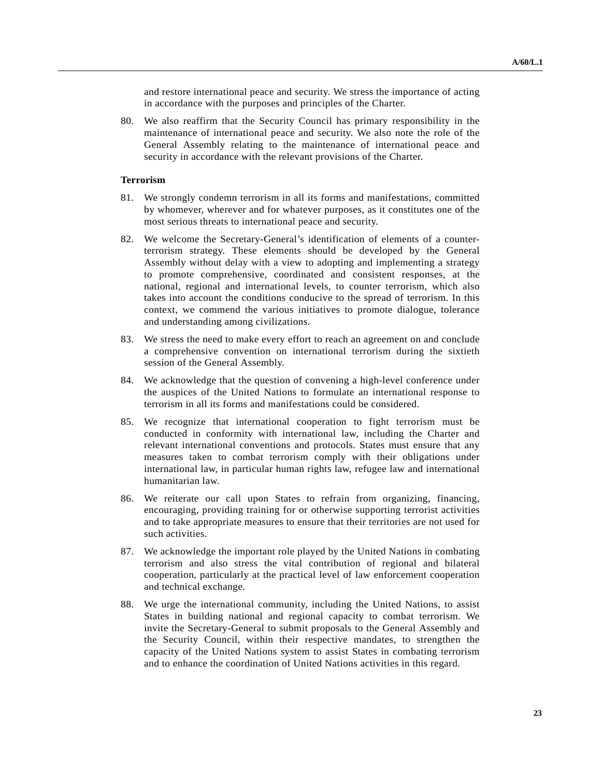and restore international peace and security. We stress the importance of acting in accordance with the purposes and principles of the Charter.

80. We also reaffirm that the Security Council has primary responsibility in the maintenance of international peace and security. We also note the role of the General Assembly relating to the maintenance of international peace and security in accordance with the relevant provisions of the Charter.

#### **Terrorism**

- 81. We strongly condemn terrorism in all its forms and manifestations, committed by whomever, wherever and for whatever purposes, as it constitutes one of the most serious threats to international peace and security.
- 82. We welcome the Secretary-General's identification of elements of a counterterrorism strategy. These elements should be developed by the General Assembly without delay with a view to adopting and implementing a strategy to promote comprehensive, coordinated and consistent responses, at the national, regional and international levels, to counter terrorism, which also takes into account the conditions conducive to the spread of terrorism. In this context, we commend the various initiatives to promote dialogue, tolerance and understanding among civilizations.
- 83. We stress the need to make every effort to reach an agreement on and conclude a comprehensive convention on international terrorism during the sixtieth session of the General Assembly.
- 84. We acknowledge that the question of convening a high-level conference under the auspices of the United Nations to formulate an international response to terrorism in all its forms and manifestations could be considered.
- 85. We recognize that international cooperation to fight terrorism must be conducted in conformity with international law, including the Charter and relevant international conventions and protocols. States must ensure that any measures taken to combat terrorism comply with their obligations under international law, in particular human rights law, refugee law and international humanitarian law.
- 86. We reiterate our call upon States to refrain from organizing, financing, encouraging, providing training for or otherwise supporting terrorist activities and to take appropriate measures to ensure that their territories are not used for such activities.
- 87. We acknowledge the important role played by the United Nations in combating terrorism and also stress the vital contribution of regional and bilateral cooperation, particularly at the practical level of law enforcement cooperation and technical exchange.
- 88. We urge the international community, including the United Nations, to assist States in building national and regional capacity to combat terrorism. We invite the Secretary-General to submit proposals to the General Assembly and the Security Council, within their respective mandates, to strengthen the capacity of the United Nations system to assist States in combating terrorism and to enhance the coordination of United Nations activities in this regard.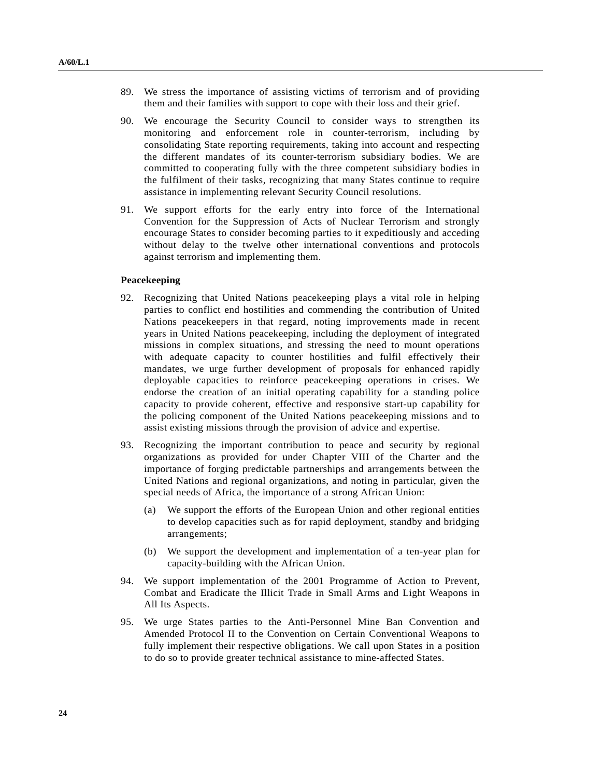- 89. We stress the importance of assisting victims of terrorism and of providing them and their families with support to cope with their loss and their grief.
- 90. We encourage the Security Council to consider ways to strengthen its monitoring and enforcement role in counter-terrorism, including by consolidating State reporting requirements, taking into account and respecting the different mandates of its counter-terrorism subsidiary bodies. We are committed to cooperating fully with the three competent subsidiary bodies in the fulfilment of their tasks, recognizing that many States continue to require assistance in implementing relevant Security Council resolutions.
- 91. We support efforts for the early entry into force of the International Convention for the Suppression of Acts of Nuclear Terrorism and strongly encourage States to consider becoming parties to it expeditiously and acceding without delay to the twelve other international conventions and protocols against terrorism and implementing them.

# **Peacekeeping**

- 92. Recognizing that United Nations peacekeeping plays a vital role in helping parties to conflict end hostilities and commending the contribution of United Nations peacekeepers in that regard, noting improvements made in recent years in United Nations peacekeeping, including the deployment of integrated missions in complex situations, and stressing the need to mount operations with adequate capacity to counter hostilities and fulfil effectively their mandates, we urge further development of proposals for enhanced rapidly deployable capacities to reinforce peacekeeping operations in crises. We endorse the creation of an initial operating capability for a standing police capacity to provide coherent, effective and responsive start-up capability for the policing component of the United Nations peacekeeping missions and to assist existing missions through the provision of advice and expertise.
- 93. Recognizing the important contribution to peace and security by regional organizations as provided for under Chapter VIII of the Charter and the importance of forging predictable partnerships and arrangements between the United Nations and regional organizations, and noting in particular, given the special needs of Africa, the importance of a strong African Union:
	- (a) We support the efforts of the European Union and other regional entities to develop capacities such as for rapid deployment, standby and bridging arrangements;
	- (b) We support the development and implementation of a ten-year plan for capacity-building with the African Union.
- 94. We support implementation of the 2001 Programme of Action to Prevent, Combat and Eradicate the Illicit Trade in Small Arms and Light Weapons in All Its Aspects.
- 95. We urge States parties to the Anti-Personnel Mine Ban Convention and Amended Protocol II to the Convention on Certain Conventional Weapons to fully implement their respective obligations. We call upon States in a position to do so to provide greater technical assistance to mine-affected States.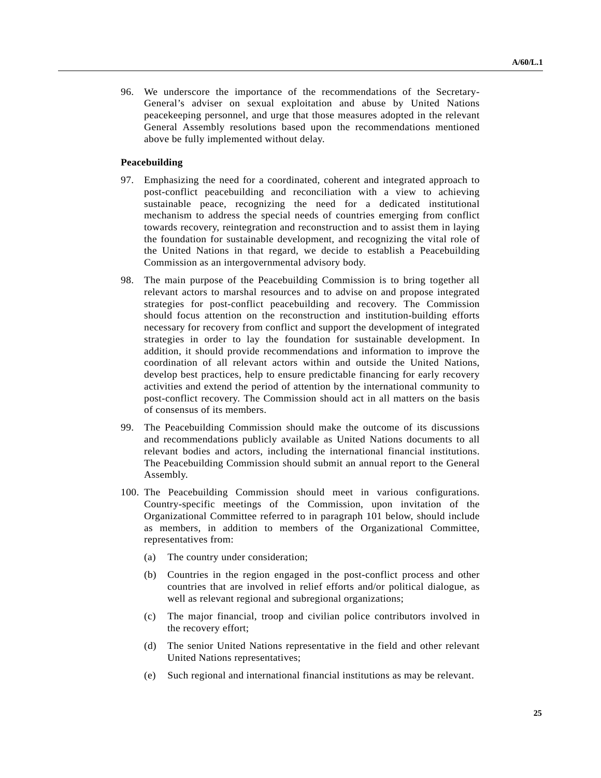96. We underscore the importance of the recommendations of the Secretary-General's adviser on sexual exploitation and abuse by United Nations peacekeeping personnel, and urge that those measures adopted in the relevant General Assembly resolutions based upon the recommendations mentioned above be fully implemented without delay.

## **Peacebuilding**

- 97. Emphasizing the need for a coordinated, coherent and integrated approach to post-conflict peacebuilding and reconciliation with a view to achieving sustainable peace, recognizing the need for a dedicated institutional mechanism to address the special needs of countries emerging from conflict towards recovery, reintegration and reconstruction and to assist them in laying the foundation for sustainable development, and recognizing the vital role of the United Nations in that regard, we decide to establish a Peacebuilding Commission as an intergovernmental advisory body.
- 98. The main purpose of the Peacebuilding Commission is to bring together all relevant actors to marshal resources and to advise on and propose integrated strategies for post-conflict peacebuilding and recovery. The Commission should focus attention on the reconstruction and institution-building efforts necessary for recovery from conflict and support the development of integrated strategies in order to lay the foundation for sustainable development. In addition, it should provide recommendations and information to improve the coordination of all relevant actors within and outside the United Nations, develop best practices, help to ensure predictable financing for early recovery activities and extend the period of attention by the international community to post-conflict recovery. The Commission should act in all matters on the basis of consensus of its members.
- 99. The Peacebuilding Commission should make the outcome of its discussions and recommendations publicly available as United Nations documents to all relevant bodies and actors, including the international financial institutions. The Peacebuilding Commission should submit an annual report to the General Assembly.
- 100. The Peacebuilding Commission should meet in various configurations. Country-specific meetings of the Commission, upon invitation of the Organizational Committee referred to in paragraph 101 below, should include as members, in addition to members of the Organizational Committee, representatives from:
	- (a) The country under consideration;
	- (b) Countries in the region engaged in the post-conflict process and other countries that are involved in relief efforts and/or political dialogue, as well as relevant regional and subregional organizations;
	- (c) The major financial, troop and civilian police contributors involved in the recovery effort;
	- (d) The senior United Nations representative in the field and other relevant United Nations representatives;
	- (e) Such regional and international financial institutions as may be relevant.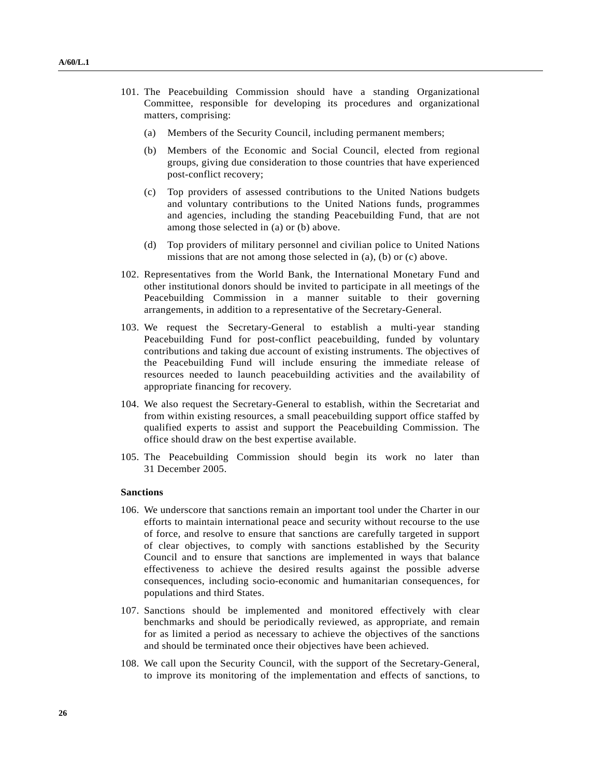- 101. The Peacebuilding Commission should have a standing Organizational Committee, responsible for developing its procedures and organizational matters, comprising:
	- (a) Members of the Security Council, including permanent members;
	- (b) Members of the Economic and Social Council, elected from regional groups, giving due consideration to those countries that have experienced post-conflict recovery;
	- (c) Top providers of assessed contributions to the United Nations budgets and voluntary contributions to the United Nations funds, programmes and agencies, including the standing Peacebuilding Fund, that are not among those selected in (a) or (b) above.
	- (d) Top providers of military personnel and civilian police to United Nations missions that are not among those selected in (a), (b) or (c) above.
- 102. Representatives from the World Bank, the International Monetary Fund and other institutional donors should be invited to participate in all meetings of the Peacebuilding Commission in a manner suitable to their governing arrangements, in addition to a representative of the Secretary-General.
- 103. We request the Secretary-General to establish a multi-year standing Peacebuilding Fund for post-conflict peacebuilding, funded by voluntary contributions and taking due account of existing instruments. The objectives of the Peacebuilding Fund will include ensuring the immediate release of resources needed to launch peacebuilding activities and the availability of appropriate financing for recovery.
- 104. We also request the Secretary-General to establish, within the Secretariat and from within existing resources, a small peacebuilding support office staffed by qualified experts to assist and support the Peacebuilding Commission. The office should draw on the best expertise available.
- 105. The Peacebuilding Commission should begin its work no later than 31 December 2005.

#### **Sanctions**

- 106. We underscore that sanctions remain an important tool under the Charter in our efforts to maintain international peace and security without recourse to the use of force, and resolve to ensure that sanctions are carefully targeted in support of clear objectives, to comply with sanctions established by the Security Council and to ensure that sanctions are implemented in ways that balance effectiveness to achieve the desired results against the possible adverse consequences, including socio-economic and humanitarian consequences, for populations and third States.
- 107. Sanctions should be implemented and monitored effectively with clear benchmarks and should be periodically reviewed, as appropriate, and remain for as limited a period as necessary to achieve the objectives of the sanctions and should be terminated once their objectives have been achieved.
- 108. We call upon the Security Council, with the support of the Secretary-General, to improve its monitoring of the implementation and effects of sanctions, to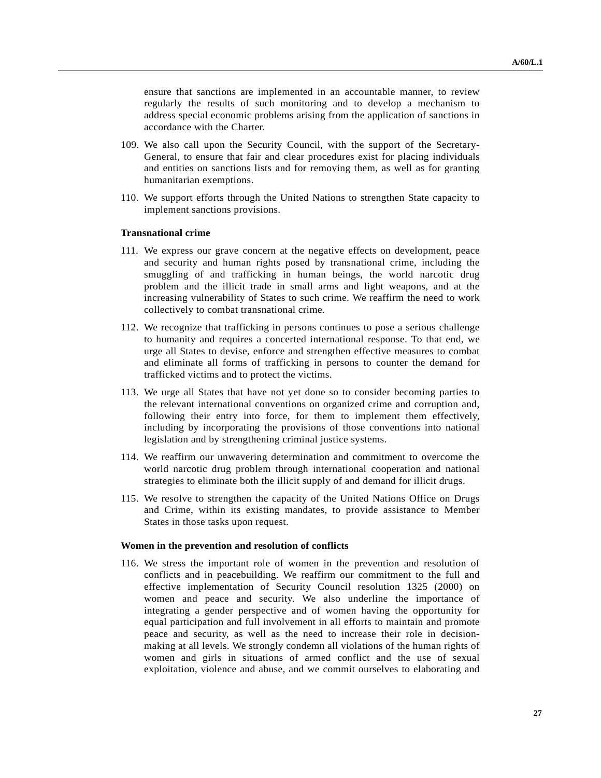ensure that sanctions are implemented in an accountable manner, to review regularly the results of such monitoring and to develop a mechanism to address special economic problems arising from the application of sanctions in accordance with the Charter.

- 109. We also call upon the Security Council, with the support of the Secretary-General, to ensure that fair and clear procedures exist for placing individuals and entities on sanctions lists and for removing them, as well as for granting humanitarian exemptions.
- 110. We support efforts through the United Nations to strengthen State capacity to implement sanctions provisions.

#### **Transnational crime**

- 111. We express our grave concern at the negative effects on development, peace and security and human rights posed by transnational crime, including the smuggling of and trafficking in human beings, the world narcotic drug problem and the illicit trade in small arms and light weapons, and at the increasing vulnerability of States to such crime. We reaffirm the need to work collectively to combat transnational crime.
- 112. We recognize that trafficking in persons continues to pose a serious challenge to humanity and requires a concerted international response. To that end, we urge all States to devise, enforce and strengthen effective measures to combat and eliminate all forms of trafficking in persons to counter the demand for trafficked victims and to protect the victims.
- 113. We urge all States that have not yet done so to consider becoming parties to the relevant international conventions on organized crime and corruption and, following their entry into force, for them to implement them effectively, including by incorporating the provisions of those conventions into national legislation and by strengthening criminal justice systems.
- 114. We reaffirm our unwavering determination and commitment to overcome the world narcotic drug problem through international cooperation and national strategies to eliminate both the illicit supply of and demand for illicit drugs.
- 115. We resolve to strengthen the capacity of the United Nations Office on Drugs and Crime, within its existing mandates, to provide assistance to Member States in those tasks upon request.

#### **Women in the prevention and resolution of conflicts**

116. We stress the important role of women in the prevention and resolution of conflicts and in peacebuilding. We reaffirm our commitment to the full and effective implementation of Security Council resolution 1325 (2000) on women and peace and security. We also underline the importance of integrating a gender perspective and of women having the opportunity for equal participation and full involvement in all efforts to maintain and promote peace and security, as well as the need to increase their role in decisionmaking at all levels. We strongly condemn all violations of the human rights of women and girls in situations of armed conflict and the use of sexual exploitation, violence and abuse, and we commit ourselves to elaborating and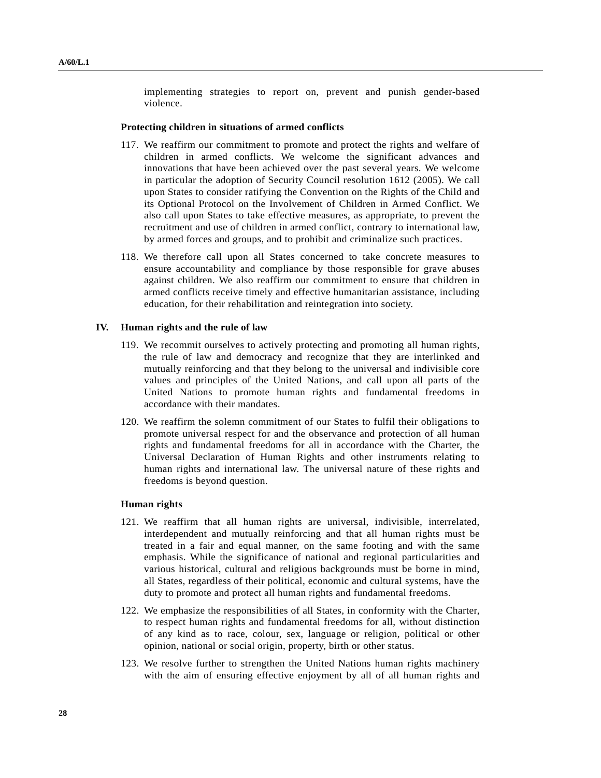implementing strategies to report on, prevent and punish gender-based violence.

## **Protecting children in situations of armed conflicts**

- 117. We reaffirm our commitment to promote and protect the rights and welfare of children in armed conflicts. We welcome the significant advances and innovations that have been achieved over the past several years. We welcome in particular the adoption of Security Council resolution 1612 (2005). We call upon States to consider ratifying the Convention on the Rights of the Child and its Optional Protocol on the Involvement of Children in Armed Conflict. We also call upon States to take effective measures, as appropriate, to prevent the recruitment and use of children in armed conflict, contrary to international law, by armed forces and groups, and to prohibit and criminalize such practices.
- 118. We therefore call upon all States concerned to take concrete measures to ensure accountability and compliance by those responsible for grave abuses against children. We also reaffirm our commitment to ensure that children in armed conflicts receive timely and effective humanitarian assistance, including education, for their rehabilitation and reintegration into society.

### **IV. Human rights and the rule of law**

- 119. We recommit ourselves to actively protecting and promoting all human rights, the rule of law and democracy and recognize that they are interlinked and mutually reinforcing and that they belong to the universal and indivisible core values and principles of the United Nations, and call upon all parts of the United Nations to promote human rights and fundamental freedoms in accordance with their mandates.
- 120. We reaffirm the solemn commitment of our States to fulfil their obligations to promote universal respect for and the observance and protection of all human rights and fundamental freedoms for all in accordance with the Charter, the Universal Declaration of Human Rights and other instruments relating to human rights and international law. The universal nature of these rights and freedoms is beyond question.

### **Human rights**

- 121. We reaffirm that all human rights are universal, indivisible, interrelated, interdependent and mutually reinforcing and that all human rights must be treated in a fair and equal manner, on the same footing and with the same emphasis. While the significance of national and regional particularities and various historical, cultural and religious backgrounds must be borne in mind, all States, regardless of their political, economic and cultural systems, have the duty to promote and protect all human rights and fundamental freedoms.
- 122. We emphasize the responsibilities of all States, in conformity with the Charter, to respect human rights and fundamental freedoms for all, without distinction of any kind as to race, colour, sex, language or religion, political or other opinion, national or social origin, property, birth or other status.
- 123. We resolve further to strengthen the United Nations human rights machinery with the aim of ensuring effective enjoyment by all of all human rights and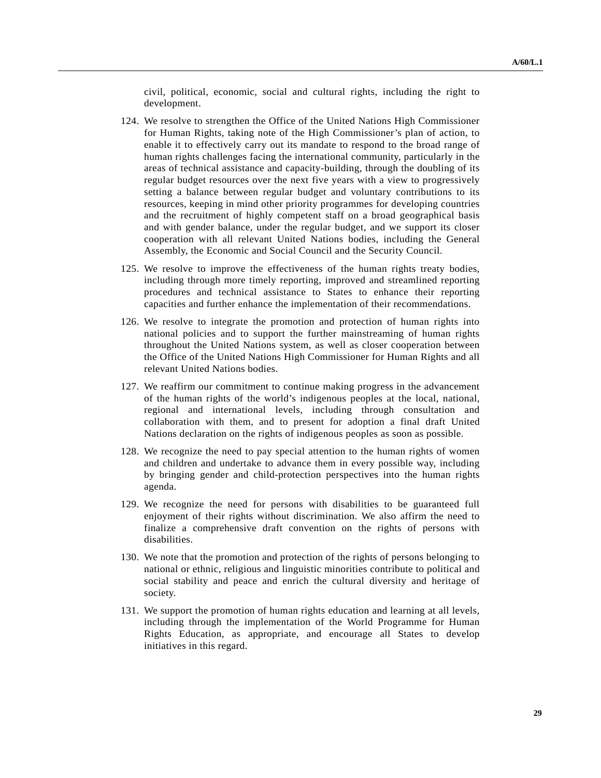civil, political, economic, social and cultural rights, including the right to development.

- 124. We resolve to strengthen the Office of the United Nations High Commissioner for Human Rights, taking note of the High Commissioner's plan of action, to enable it to effectively carry out its mandate to respond to the broad range of human rights challenges facing the international community, particularly in the areas of technical assistance and capacity-building, through the doubling of its regular budget resources over the next five years with a view to progressively setting a balance between regular budget and voluntary contributions to its resources, keeping in mind other priority programmes for developing countries and the recruitment of highly competent staff on a broad geographical basis and with gender balance, under the regular budget, and we support its closer cooperation with all relevant United Nations bodies, including the General Assembly, the Economic and Social Council and the Security Council.
- 125. We resolve to improve the effectiveness of the human rights treaty bodies, including through more timely reporting, improved and streamlined reporting procedures and technical assistance to States to enhance their reporting capacities and further enhance the implementation of their recommendations.
- 126. We resolve to integrate the promotion and protection of human rights into national policies and to support the further mainstreaming of human rights throughout the United Nations system, as well as closer cooperation between the Office of the United Nations High Commissioner for Human Rights and all relevant United Nations bodies.
- 127. We reaffirm our commitment to continue making progress in the advancement of the human rights of the world's indigenous peoples at the local, national, regional and international levels, including through consultation and collaboration with them, and to present for adoption a final draft United Nations declaration on the rights of indigenous peoples as soon as possible.
- 128. We recognize the need to pay special attention to the human rights of women and children and undertake to advance them in every possible way, including by bringing gender and child-protection perspectives into the human rights agenda.
- 129. We recognize the need for persons with disabilities to be guaranteed full enjoyment of their rights without discrimination. We also affirm the need to finalize a comprehensive draft convention on the rights of persons with disabilities.
- 130. We note that the promotion and protection of the rights of persons belonging to national or ethnic, religious and linguistic minorities contribute to political and social stability and peace and enrich the cultural diversity and heritage of society.
- 131. We support the promotion of human rights education and learning at all levels, including through the implementation of the World Programme for Human Rights Education, as appropriate, and encourage all States to develop initiatives in this regard.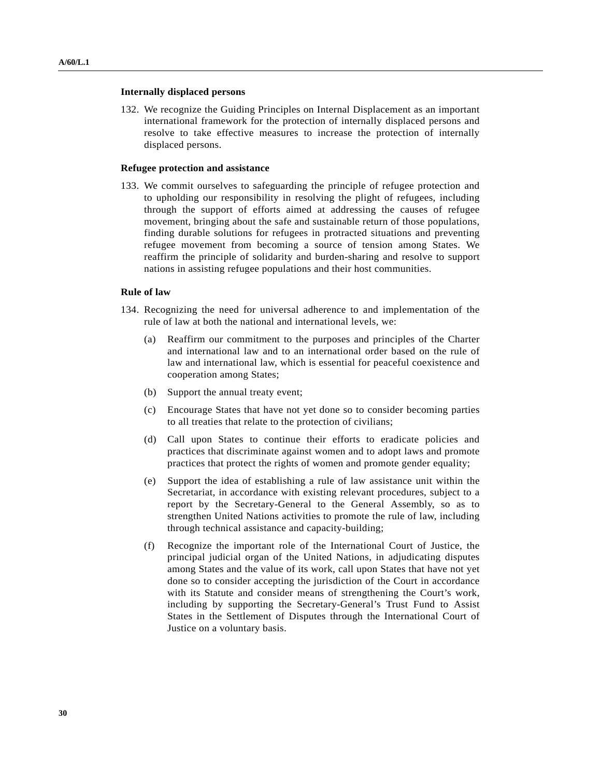#### **Internally displaced persons**

132. We recognize the Guiding Principles on Internal Displacement as an important international framework for the protection of internally displaced persons and resolve to take effective measures to increase the protection of internally displaced persons.

#### **Refugee protection and assistance**

133. We commit ourselves to safeguarding the principle of refugee protection and to upholding our responsibility in resolving the plight of refugees, including through the support of efforts aimed at addressing the causes of refugee movement, bringing about the safe and sustainable return of those populations, finding durable solutions for refugees in protracted situations and preventing refugee movement from becoming a source of tension among States. We reaffirm the principle of solidarity and burden-sharing and resolve to support nations in assisting refugee populations and their host communities.

#### **Rule of law**

- 134. Recognizing the need for universal adherence to and implementation of the rule of law at both the national and international levels, we:
	- (a) Reaffirm our commitment to the purposes and principles of the Charter and international law and to an international order based on the rule of law and international law, which is essential for peaceful coexistence and cooperation among States;
	- (b) Support the annual treaty event;
	- (c) Encourage States that have not yet done so to consider becoming parties to all treaties that relate to the protection of civilians;
	- (d) Call upon States to continue their efforts to eradicate policies and practices that discriminate against women and to adopt laws and promote practices that protect the rights of women and promote gender equality;
	- (e) Support the idea of establishing a rule of law assistance unit within the Secretariat, in accordance with existing relevant procedures, subject to a report by the Secretary-General to the General Assembly, so as to strengthen United Nations activities to promote the rule of law, including through technical assistance and capacity-building;
	- (f) Recognize the important role of the International Court of Justice, the principal judicial organ of the United Nations, in adjudicating disputes among States and the value of its work, call upon States that have not yet done so to consider accepting the jurisdiction of the Court in accordance with its Statute and consider means of strengthening the Court's work, including by supporting the Secretary-General's Trust Fund to Assist States in the Settlement of Disputes through the International Court of Justice on a voluntary basis.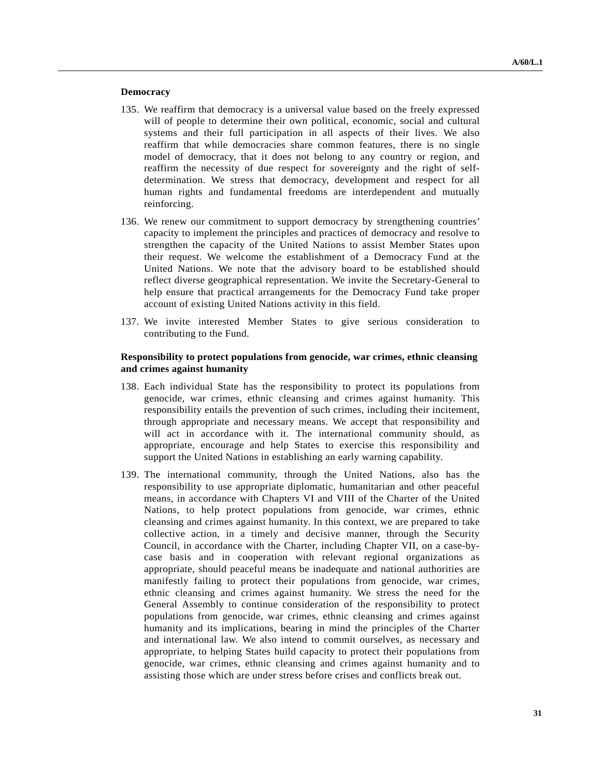### **Democracy**

- 135. We reaffirm that democracy is a universal value based on the freely expressed will of people to determine their own political, economic, social and cultural systems and their full participation in all aspects of their lives. We also reaffirm that while democracies share common features, there is no single model of democracy, that it does not belong to any country or region, and reaffirm the necessity of due respect for sovereignty and the right of selfdetermination. We stress that democracy, development and respect for all human rights and fundamental freedoms are interdependent and mutually reinforcing.
- 136. We renew our commitment to support democracy by strengthening countries' capacity to implement the principles and practices of democracy and resolve to strengthen the capacity of the United Nations to assist Member States upon their request. We welcome the establishment of a Democracy Fund at the United Nations. We note that the advisory board to be established should reflect diverse geographical representation. We invite the Secretary-General to help ensure that practical arrangements for the Democracy Fund take proper account of existing United Nations activity in this field.
- 137. We invite interested Member States to give serious consideration to contributing to the Fund.

# **Responsibility to protect populations from genocide, war crimes, ethnic cleansing and crimes against humanity**

- 138. Each individual State has the responsibility to protect its populations from genocide, war crimes, ethnic cleansing and crimes against humanity. This responsibility entails the prevention of such crimes, including their incitement, through appropriate and necessary means. We accept that responsibility and will act in accordance with it. The international community should, as appropriate, encourage and help States to exercise this responsibility and support the United Nations in establishing an early warning capability.
- 139. The international community, through the United Nations, also has the responsibility to use appropriate diplomatic, humanitarian and other peaceful means, in accordance with Chapters VI and VIII of the Charter of the United Nations, to help protect populations from genocide, war crimes, ethnic cleansing and crimes against humanity. In this context, we are prepared to take collective action, in a timely and decisive manner, through the Security Council, in accordance with the Charter, including Chapter VII, on a case-bycase basis and in cooperation with relevant regional organizations as appropriate, should peaceful means be inadequate and national authorities are manifestly failing to protect their populations from genocide, war crimes, ethnic cleansing and crimes against humanity. We stress the need for the General Assembly to continue consideration of the responsibility to protect populations from genocide, war crimes, ethnic cleansing and crimes against humanity and its implications, bearing in mind the principles of the Charter and international law. We also intend to commit ourselves, as necessary and appropriate, to helping States build capacity to protect their populations from genocide, war crimes, ethnic cleansing and crimes against humanity and to assisting those which are under stress before crises and conflicts break out.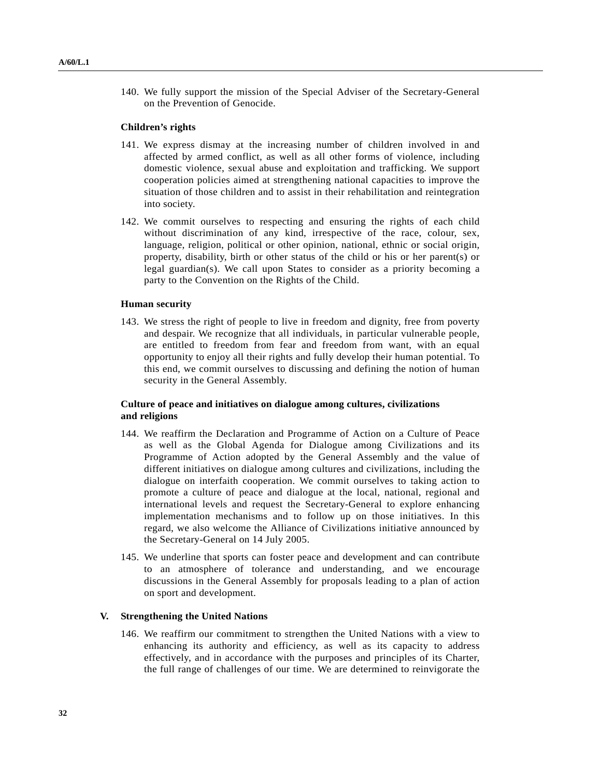140. We fully support the mission of the Special Adviser of the Secretary-General on the Prevention of Genocide.

#### **Children's rights**

- 141. We express dismay at the increasing number of children involved in and affected by armed conflict, as well as all other forms of violence, including domestic violence, sexual abuse and exploitation and trafficking. We support cooperation policies aimed at strengthening national capacities to improve the situation of those children and to assist in their rehabilitation and reintegration into society.
- 142. We commit ourselves to respecting and ensuring the rights of each child without discrimination of any kind, irrespective of the race, colour, sex, language, religion, political or other opinion, national, ethnic or social origin, property, disability, birth or other status of the child or his or her parent(s) or legal guardian(s). We call upon States to consider as a priority becoming a party to the Convention on the Rights of the Child.

## **Human security**

143. We stress the right of people to live in freedom and dignity, free from poverty and despair. We recognize that all individuals, in particular vulnerable people, are entitled to freedom from fear and freedom from want, with an equal opportunity to enjoy all their rights and fully develop their human potential. To this end, we commit ourselves to discussing and defining the notion of human security in the General Assembly.

# **Culture of peace and initiatives on dialogue among cultures, civilizations and religions**

- 144. We reaffirm the Declaration and Programme of Action on a Culture of Peace as well as the Global Agenda for Dialogue among Civilizations and its Programme of Action adopted by the General Assembly and the value of different initiatives on dialogue among cultures and civilizations, including the dialogue on interfaith cooperation. We commit ourselves to taking action to promote a culture of peace and dialogue at the local, national, regional and international levels and request the Secretary-General to explore enhancing implementation mechanisms and to follow up on those initiatives. In this regard, we also welcome the Alliance of Civilizations initiative announced by the Secretary-General on 14 July 2005.
- 145. We underline that sports can foster peace and development and can contribute to an atmosphere of tolerance and understanding, and we encourage discussions in the General Assembly for proposals leading to a plan of action on sport and development.

### **V. Strengthening the United Nations**

146. We reaffirm our commitment to strengthen the United Nations with a view to enhancing its authority and efficiency, as well as its capacity to address effectively, and in accordance with the purposes and principles of its Charter, the full range of challenges of our time. We are determined to reinvigorate the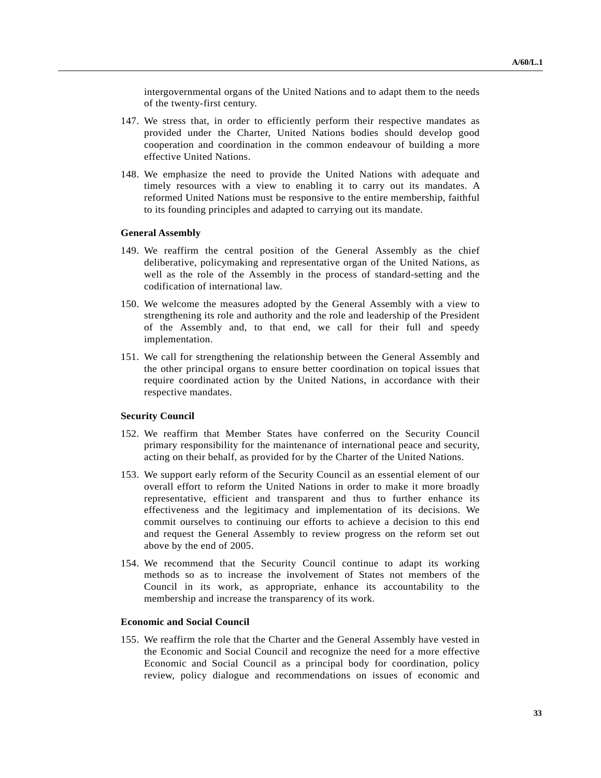intergovernmental organs of the United Nations and to adapt them to the needs of the twenty-first century.

- 147. We stress that, in order to efficiently perform their respective mandates as provided under the Charter, United Nations bodies should develop good cooperation and coordination in the common endeavour of building a more effective United Nations.
- 148. We emphasize the need to provide the United Nations with adequate and timely resources with a view to enabling it to carry out its mandates. A reformed United Nations must be responsive to the entire membership, faithful to its founding principles and adapted to carrying out its mandate.

### **General Assembly**

- 149. We reaffirm the central position of the General Assembly as the chief deliberative, policymaking and representative organ of the United Nations, as well as the role of the Assembly in the process of standard-setting and the codification of international law.
- 150. We welcome the measures adopted by the General Assembly with a view to strengthening its role and authority and the role and leadership of the President of the Assembly and, to that end, we call for their full and speedy implementation.
- 151. We call for strengthening the relationship between the General Assembly and the other principal organs to ensure better coordination on topical issues that require coordinated action by the United Nations, in accordance with their respective mandates.

### **Security Council**

- 152. We reaffirm that Member States have conferred on the Security Council primary responsibility for the maintenance of international peace and security, acting on their behalf, as provided for by the Charter of the United Nations.
- 153. We support early reform of the Security Council as an essential element of our overall effort to reform the United Nations in order to make it more broadly representative, efficient and transparent and thus to further enhance its effectiveness and the legitimacy and implementation of its decisions. We commit ourselves to continuing our efforts to achieve a decision to this end and request the General Assembly to review progress on the reform set out above by the end of 2005.
- 154. We recommend that the Security Council continue to adapt its working methods so as to increase the involvement of States not members of the Council in its work, as appropriate, enhance its accountability to the membership and increase the transparency of its work.

### **Economic and Social Council**

155. We reaffirm the role that the Charter and the General Assembly have vested in the Economic and Social Council and recognize the need for a more effective Economic and Social Council as a principal body for coordination, policy review, policy dialogue and recommendations on issues of economic and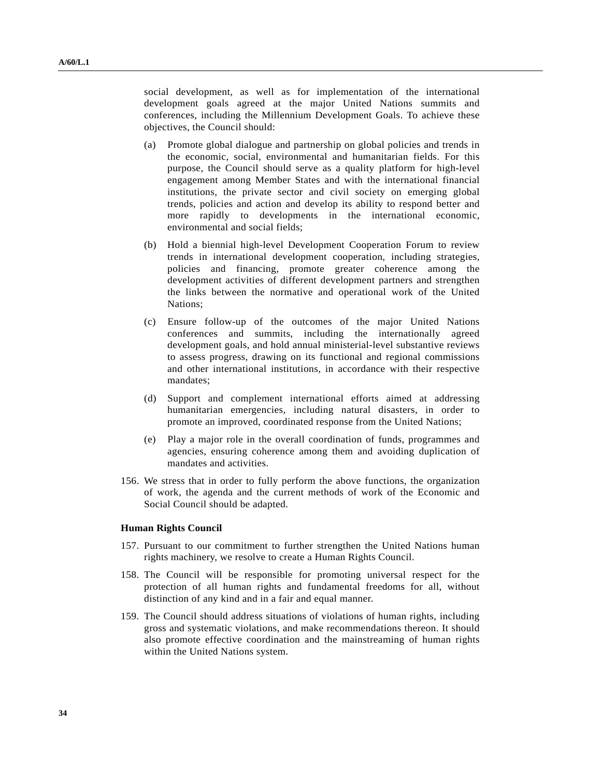social development, as well as for implementation of the international development goals agreed at the major United Nations summits and conferences, including the Millennium Development Goals. To achieve these objectives, the Council should:

- (a) Promote global dialogue and partnership on global policies and trends in the economic, social, environmental and humanitarian fields. For this purpose, the Council should serve as a quality platform for high-level engagement among Member States and with the international financial institutions, the private sector and civil society on emerging global trends, policies and action and develop its ability to respond better and more rapidly to developments in the international economic, environmental and social fields;
- (b) Hold a biennial high-level Development Cooperation Forum to review trends in international development cooperation, including strategies, policies and financing, promote greater coherence among the development activities of different development partners and strengthen the links between the normative and operational work of the United Nations;
- (c) Ensure follow-up of the outcomes of the major United Nations conferences and summits, including the internationally agreed development goals, and hold annual ministerial-level substantive reviews to assess progress, drawing on its functional and regional commissions and other international institutions, in accordance with their respective mandates;
- (d) Support and complement international efforts aimed at addressing humanitarian emergencies, including natural disasters, in order to promote an improved, coordinated response from the United Nations;
- (e) Play a major role in the overall coordination of funds, programmes and agencies, ensuring coherence among them and avoiding duplication of mandates and activities.
- 156. We stress that in order to fully perform the above functions, the organization of work, the agenda and the current methods of work of the Economic and Social Council should be adapted.

### **Human Rights Council**

- 157. Pursuant to our commitment to further strengthen the United Nations human rights machinery, we resolve to create a Human Rights Council.
- 158. The Council will be responsible for promoting universal respect for the protection of all human rights and fundamental freedoms for all, without distinction of any kind and in a fair and equal manner.
- 159. The Council should address situations of violations of human rights, including gross and systematic violations, and make recommendations thereon. It should also promote effective coordination and the mainstreaming of human rights within the United Nations system.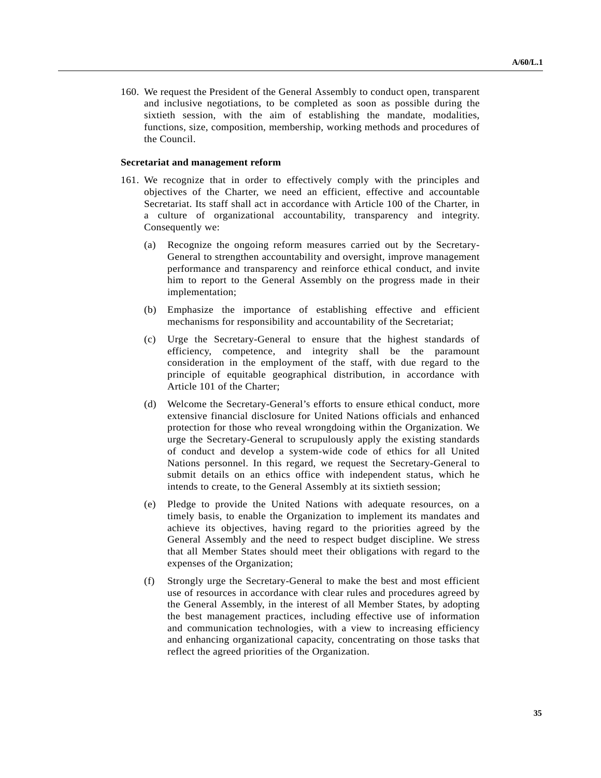160. We request the President of the General Assembly to conduct open, transparent and inclusive negotiations, to be completed as soon as possible during the sixtieth session, with the aim of establishing the mandate, modalities, functions, size, composition, membership, working methods and procedures of the Council.

## **Secretariat and management reform**

- 161. We recognize that in order to effectively comply with the principles and objectives of the Charter, we need an efficient, effective and accountable Secretariat. Its staff shall act in accordance with Article 100 of the Charter, in a culture of organizational accountability, transparency and integrity. Consequently we:
	- (a) Recognize the ongoing reform measures carried out by the Secretary-General to strengthen accountability and oversight, improve management performance and transparency and reinforce ethical conduct, and invite him to report to the General Assembly on the progress made in their implementation;
	- (b) Emphasize the importance of establishing effective and efficient mechanisms for responsibility and accountability of the Secretariat;
	- (c) Urge the Secretary-General to ensure that the highest standards of efficiency, competence, and integrity shall be the paramount consideration in the employment of the staff, with due regard to the principle of equitable geographical distribution, in accordance with Article 101 of the Charter;
	- (d) Welcome the Secretary-General's efforts to ensure ethical conduct, more extensive financial disclosure for United Nations officials and enhanced protection for those who reveal wrongdoing within the Organization. We urge the Secretary-General to scrupulously apply the existing standards of conduct and develop a system-wide code of ethics for all United Nations personnel. In this regard, we request the Secretary-General to submit details on an ethics office with independent status, which he intends to create, to the General Assembly at its sixtieth session;
	- (e) Pledge to provide the United Nations with adequate resources, on a timely basis, to enable the Organization to implement its mandates and achieve its objectives, having regard to the priorities agreed by the General Assembly and the need to respect budget discipline. We stress that all Member States should meet their obligations with regard to the expenses of the Organization;
	- (f) Strongly urge the Secretary-General to make the best and most efficient use of resources in accordance with clear rules and procedures agreed by the General Assembly, in the interest of all Member States, by adopting the best management practices, including effective use of information and communication technologies, with a view to increasing efficiency and enhancing organizational capacity, concentrating on those tasks that reflect the agreed priorities of the Organization.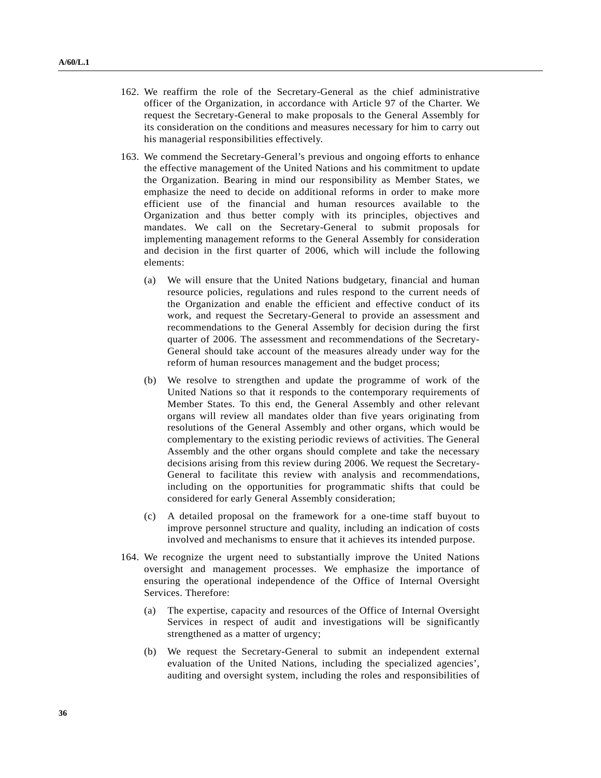- 162. We reaffirm the role of the Secretary-General as the chief administrative officer of the Organization, in accordance with Article 97 of the Charter. We request the Secretary-General to make proposals to the General Assembly for its consideration on the conditions and measures necessary for him to carry out his managerial responsibilities effectively.
- 163. We commend the Secretary-General's previous and ongoing efforts to enhance the effective management of the United Nations and his commitment to update the Organization. Bearing in mind our responsibility as Member States, we emphasize the need to decide on additional reforms in order to make more efficient use of the financial and human resources available to the Organization and thus better comply with its principles, objectives and mandates. We call on the Secretary-General to submit proposals for implementing management reforms to the General Assembly for consideration and decision in the first quarter of 2006, which will include the following elements:
	- (a) We will ensure that the United Nations budgetary, financial and human resource policies, regulations and rules respond to the current needs of the Organization and enable the efficient and effective conduct of its work, and request the Secretary-General to provide an assessment and recommendations to the General Assembly for decision during the first quarter of 2006. The assessment and recommendations of the Secretary-General should take account of the measures already under way for the reform of human resources management and the budget process;
	- (b) We resolve to strengthen and update the programme of work of the United Nations so that it responds to the contemporary requirements of Member States. To this end, the General Assembly and other relevant organs will review all mandates older than five years originating from resolutions of the General Assembly and other organs, which would be complementary to the existing periodic reviews of activities. The General Assembly and the other organs should complete and take the necessary decisions arising from this review during 2006. We request the Secretary-General to facilitate this review with analysis and recommendations, including on the opportunities for programmatic shifts that could be considered for early General Assembly consideration;
	- (c) A detailed proposal on the framework for a one-time staff buyout to improve personnel structure and quality, including an indication of costs involved and mechanisms to ensure that it achieves its intended purpose.
- 164. We recognize the urgent need to substantially improve the United Nations oversight and management processes. We emphasize the importance of ensuring the operational independence of the Office of Internal Oversight Services. Therefore:
	- (a) The expertise, capacity and resources of the Office of Internal Oversight Services in respect of audit and investigations will be significantly strengthened as a matter of urgency;
	- (b) We request the Secretary-General to submit an independent external evaluation of the United Nations, including the specialized agencies', auditing and oversight system, including the roles and responsibilities of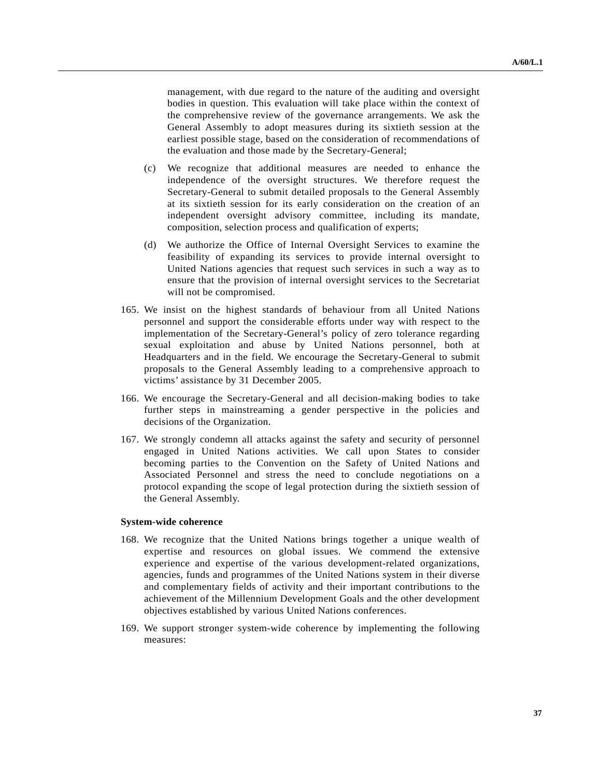management, with due regard to the nature of the auditing and oversight bodies in question. This evaluation will take place within the context of the comprehensive review of the governance arrangements. We ask the General Assembly to adopt measures during its sixtieth session at the earliest possible stage, based on the consideration of recommendations of the evaluation and those made by the Secretary-General;

- (c) We recognize that additional measures are needed to enhance the independence of the oversight structures. We therefore request the Secretary-General to submit detailed proposals to the General Assembly at its sixtieth session for its early consideration on the creation of an independent oversight advisory committee, including its mandate, composition, selection process and qualification of experts;
- (d) We authorize the Office of Internal Oversight Services to examine the feasibility of expanding its services to provide internal oversight to United Nations agencies that request such services in such a way as to ensure that the provision of internal oversight services to the Secretariat will not be compromised.
- 165. We insist on the highest standards of behaviour from all United Nations personnel and support the considerable efforts under way with respect to the implementation of the Secretary-General's policy of zero tolerance regarding sexual exploitation and abuse by United Nations personnel, both at Headquarters and in the field. We encourage the Secretary-General to submit proposals to the General Assembly leading to a comprehensive approach to victims' assistance by 31 December 2005.
- 166. We encourage the Secretary-General and all decision-making bodies to take further steps in mainstreaming a gender perspective in the policies and decisions of the Organization.
- 167. We strongly condemn all attacks against the safety and security of personnel engaged in United Nations activities. We call upon States to consider becoming parties to the Convention on the Safety of United Nations and Associated Personnel and stress the need to conclude negotiations on a protocol expanding the scope of legal protection during the sixtieth session of the General Assembly.

## **System-wide coherence**

- 168. We recognize that the United Nations brings together a unique wealth of expertise and resources on global issues. We commend the extensive experience and expertise of the various development-related organizations, agencies, funds and programmes of the United Nations system in their diverse and complementary fields of activity and their important contributions to the achievement of the Millennium Development Goals and the other development objectives established by various United Nations conferences.
- 169. We support stronger system-wide coherence by implementing the following measures: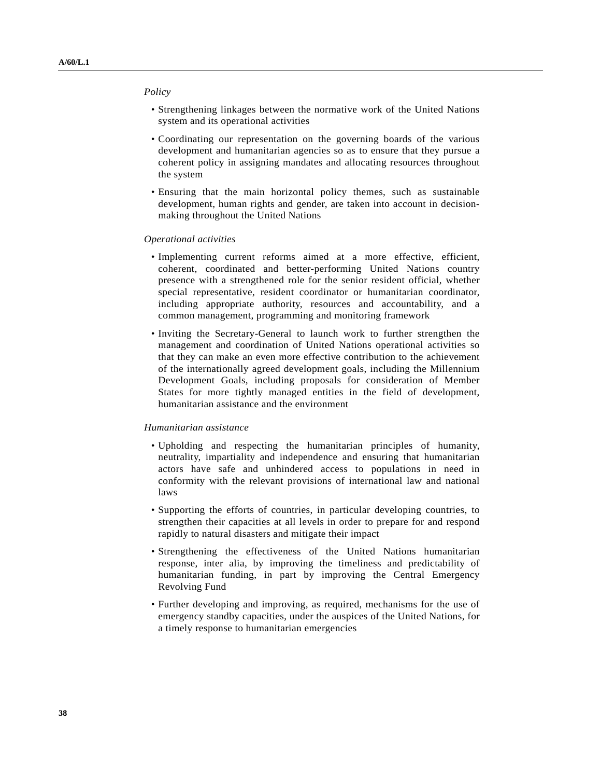# *Policy*

- Strengthening linkages between the normative work of the United Nations system and its operational activities
- Coordinating our representation on the governing boards of the various development and humanitarian agencies so as to ensure that they pursue a coherent policy in assigning mandates and allocating resources throughout the system
- Ensuring that the main horizontal policy themes, such as sustainable development, human rights and gender, are taken into account in decisionmaking throughout the United Nations

### *Operational activities*

- Implementing current reforms aimed at a more effective, efficient, coherent, coordinated and better-performing United Nations country presence with a strengthened role for the senior resident official, whether special representative, resident coordinator or humanitarian coordinator, including appropriate authority, resources and accountability, and a common management, programming and monitoring framework
- Inviting the Secretary-General to launch work to further strengthen the management and coordination of United Nations operational activities so that they can make an even more effective contribution to the achievement of the internationally agreed development goals, including the Millennium Development Goals, including proposals for consideration of Member States for more tightly managed entities in the field of development, humanitarian assistance and the environment

### *Humanitarian assistance*

- Upholding and respecting the humanitarian principles of humanity, neutrality, impartiality and independence and ensuring that humanitarian actors have safe and unhindered access to populations in need in conformity with the relevant provisions of international law and national laws
- Supporting the efforts of countries, in particular developing countries, to strengthen their capacities at all levels in order to prepare for and respond rapidly to natural disasters and mitigate their impact
- Strengthening the effectiveness of the United Nations humanitarian response, inter alia, by improving the timeliness and predictability of humanitarian funding, in part by improving the Central Emergency Revolving Fund
- Further developing and improving, as required, mechanisms for the use of emergency standby capacities, under the auspices of the United Nations, for a timely response to humanitarian emergencies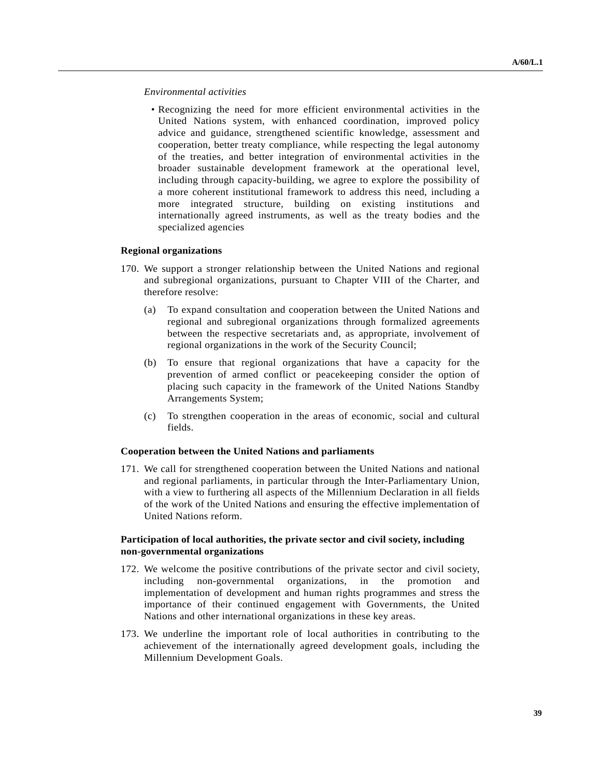# *Environmental activities*

• Recognizing the need for more efficient environmental activities in the United Nations system, with enhanced coordination, improved policy advice and guidance, strengthened scientific knowledge, assessment and cooperation, better treaty compliance, while respecting the legal autonomy of the treaties, and better integration of environmental activities in the broader sustainable development framework at the operational level, including through capacity-building, we agree to explore the possibility of a more coherent institutional framework to address this need, including a more integrated structure, building on existing institutions and internationally agreed instruments, as well as the treaty bodies and the specialized agencies

#### **Regional organizations**

- 170. We support a stronger relationship between the United Nations and regional and subregional organizations, pursuant to Chapter VIII of the Charter, and therefore resolve:
	- (a) To expand consultation and cooperation between the United Nations and regional and subregional organizations through formalized agreements between the respective secretariats and, as appropriate, involvement of regional organizations in the work of the Security Council;
	- (b) To ensure that regional organizations that have a capacity for the prevention of armed conflict or peacekeeping consider the option of placing such capacity in the framework of the United Nations Standby Arrangements System;
	- (c) To strengthen cooperation in the areas of economic, social and cultural fields.

## **Cooperation between the United Nations and parliaments**

171. We call for strengthened cooperation between the United Nations and national and regional parliaments, in particular through the Inter-Parliamentary Union, with a view to furthering all aspects of the Millennium Declaration in all fields of the work of the United Nations and ensuring the effective implementation of United Nations reform.

# **Participation of local authorities, the private sector and civil society, including non-governmental organizations**

- 172. We welcome the positive contributions of the private sector and civil society, including non-governmental organizations, in the promotion and implementation of development and human rights programmes and stress the importance of their continued engagement with Governments, the United Nations and other international organizations in these key areas.
- 173. We underline the important role of local authorities in contributing to the achievement of the internationally agreed development goals, including the Millennium Development Goals.